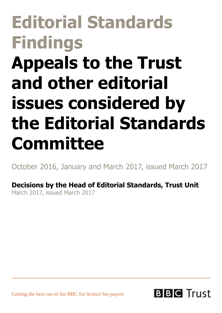# **Editorial Standards Findings Appeals to the Trust and other editorial issues considered by the Editorial Standards Committee**

October 2016, January and March 2017, issued March 2017

**Decisions by the Head of Editorial Standards, Trust Unit** March 2017, issued March 2017



Getting the best out of the BBC for licence fee payers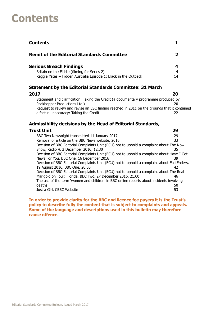# <span id="page-1-0"></span>**Contents**

| <b>Contents</b>                                                                                                                                   |              |
|---------------------------------------------------------------------------------------------------------------------------------------------------|--------------|
| <b>Remit of the Editorial Standards Committee</b>                                                                                                 | 2            |
| <b>Serious Breach Findings</b><br>Britain on the Fiddle (filming for Series 2)<br>Reggie Yates - Hidden Australia Episode 1: Black in the Outback | 4<br>4<br>14 |
| <b>Statement by the Editorial Standards Committee: 31 March</b>                                                                                   |              |

**[2017](#page-20-0) 20** Statement and clarification: Taking the Credit (a [documentary](#page-20-1) programme produced by [Rockhopper](#page-20-1) Productions Ltd.) 20 Request to review and revise an ESC finding reached in 2011 on the grounds that it [contained](#page-22-0) a factual [inaccuracy:](#page-22-0) Taking the Credit 22

#### **[Admissibility decisions by the Head of Editorial Standards,](#page-29-0)**

#### **[Trust Unit](#page-29-0) 29**

| BBC Two Newsnight transmitted 11 January 2017                                               | 29 |
|---------------------------------------------------------------------------------------------|----|
| Removal of article on the BBC News website, 2016                                            | 33 |
| Decision of BBC Editorial Complaints Unit (ECU) not to uphold a complaint about The Now     |    |
| Show, Radio 4, 3 December 2016, 12.30                                                       | 35 |
| Decision of BBC Editorial Complaints Unit (ECU) not to uphold a complaint about Have I Got  |    |
| News For You, BBC One, 16 December 2016                                                     | 39 |
| Decision of BBC Editorial Complaints Unit (ECU) not to uphold a complaint about EastEnders, |    |
| 19 August 2016, BBC One, 20.00                                                              | 42 |
| Decision of BBC Editorial Complaints Unit (ECU) not to uphold a complaint about The Real    |    |
| Marigold on Tour: Florida, BBC Two, 27 December 2016, 21.00                                 | 46 |
| The use of the term 'women and children' in BBC online reports about incidents involving    |    |
| deaths                                                                                      | 50 |
| Just a Girl, CBBC Website                                                                   | 53 |

**In order to provide clarity for the BBC and licence fee payers it is the Trust's policy to describe fully the content that is subject to complaints and appeals. Some of the language and descriptions used in this bulletin may therefore cause offence.**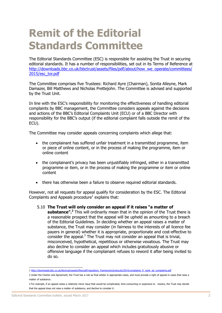# <span id="page-2-0"></span>**Remit of the Editorial Standards Committee**

The Editorial Standards Committee (ESC) is responsible for assisting the Trust in securing editorial standards. It has a number of responsibilities, set out in its Terms of Reference at [http://downloads.bbc.co.uk/bbctrust/assets/files/pdf/about/how\\_we\\_operate/committees/](http://downloads.bbc.co.uk/bbctrust/assets/files/pdf/about/how_we_operate/committees/2015/esc_tor.pdf) [2015/esc\\_tor.pdf](http://downloads.bbc.co.uk/bbctrust/assets/files/pdf/about/how_we_operate/committees/2015/esc_tor.pdf)

The Committee comprises five Trustees: Richard Ayre (Chairman), Sonita Alleyne, Mark Damazer, Bill Matthews and Nicholas Prettejohn. The Committee is advised and supported by the Trust Unit.

In line with the ESC's responsibility for monitoring the effectiveness of handling editorial complaints by BBC management, the Committee considers appeals against the decisions and actions of the BBC's Editorial Complaints Unit (ECU) or of a BBC Director with responsibility for the BBC's output (if the editorial complaint falls outside the remit of the ECU).

The Committee may consider appeals concerning complaints which allege that:

- the complainant has suffered unfair treatment in a transmitted programme, item or piece of online content, or in the process of making the programme, item or online content
- the complainant's privacy has been unjustifiably infringed, either in a transmitted programme or item, or in the process of making the programme or item or online content
- there has otherwise been a failure to observe required editorial standards.

However, not all requests for appeal qualify for consideration by the ESC. The Editorial Complaints and Appeals procedure<sup>1</sup> explains that:

5.10 **The Trust will only consider an appeal if it raises "a matter of substance".<sup>2</sup>** This will ordinarily mean that in the opinion of the Trust there is a reasonable prospect that the appeal will be upheld as amounting to a breach of the Editorial Guidelines. In deciding whether an appeal raises a matter of substance, the Trust may consider (in fairness to the interests of all licence fee payers in general) whether it is appropriate, proportionate and cost-effective to consider the appeal.<sup>3</sup> The Trust may not consider an appeal that is trivial, misconceived, hypothetical, repetitious or otherwise vexatious. The Trust may also decline to consider an appeal which includes gratuitously abusive or offensive language if the complainant refuses to reword it after being invited to do so.

 1 [http://downloads.bbc.co.uk/bbctrust/assets/files/pdf/regulatory\\_framework/protocols/2014/complaints\\_fr\\_work\\_ed\\_complaints.pdf](http://downloads.bbc.co.uk/bbctrust/assets/files/pdf/regulatory_framework/protocols/2014/complaints_fr_work_ed_complaints.pdf) 

<sup>2</sup> Under the Charter and Agreement, the Trust has a role as final arbiter in appropriate cases, and must provide a right of appeal in cases that raise a matter of substance.

<sup>3</sup> For example, if an appeal raises a relatively minor issue that would be complicated, time-consuming or expensive to resolve, the Trust may decide that the appeal does not raise a matter of substance, and decline to consider it.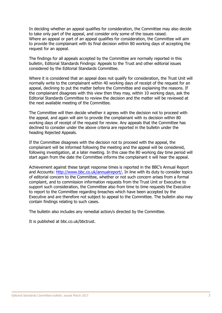In deciding whether an appeal qualifies for consideration, the Committee may also decide to take only part of the appeal, and consider only some of the issues raised. Where an appeal or part of an appeal qualifies for consideration, the Committee will aim to provide the complainant with its final decision within 80 working days of accepting the request for an appeal.

The findings for all appeals accepted by the Committee are normally reported in this bulletin, Editorial Standards Findings: Appeals to the Trust and other editorial issues considered by the Editorial Standards Committee.

Where it is considered that an appeal does not qualify for consideration, the Trust Unit will normally write to the complainant within 40 working days of receipt of the request for an appeal, declining to put the matter before the Committee and explaining the reasons. If the complainant disagrees with this view then they may, within 10 working days, ask the Editorial Standards Committee to review the decision and the matter will be reviewed at the next available meeting of the Committee.

The Committee will then decide whether it agrees with the decision not to proceed with the appeal, and again will aim to provide the complainant with its decision within 80 working days of receipt of the request for review. Any appeals that the Committee has declined to consider under the above criteria are reported in the bulletin under the heading Rejected Appeals.

If the Committee disagrees with the decision not to proceed with the appeal, the complainant will be informed following the meeting and the appeal will be considered, following investigation, at a later meeting. In this case the 80 working day time period will start again from the date the Committee informs the complainant it will hear the appeal.

Achievement against these target response times is reported in the BBC's Annual Report and Accounts: [http://www.bbc.co.uk/annualreport/.](http://www.bbc.co.uk/annualreport/) In line with its duty to consider topics of editorial concern to the Committee, whether or not such concern arises from a formal complaint, and to commission information requests from the Trust Unit or Executive to support such consideration, the Committee also from time to time requests the Executive to report to the Committee regarding breaches which have been accepted by the Executive and are therefore not subject to appeal to the Committee. The bulletin also may contain findings relating to such cases.

The bulletin also includes any remedial action/s directed by the Committee.

It is published at bbc.co.uk/bbctrust.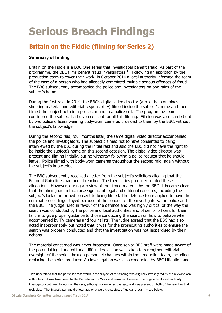# <span id="page-4-0"></span>**Serious Breach Findings**

# <span id="page-4-1"></span>**Britain on the Fiddle (filming for Series 2)**

#### **Summary of finding**

Britain on the Fiddle is a BBC One series that investigates benefit fraud. As part of the programme, the BBC films benefit fraud investigators. $4$  Following an approach by the production team to cover their work, in October 2014 a local authority informed the team of the case of a person who had allegedly committed multiple serious offences of fraud. The BBC subsequently accompanied the police and investigators on two raids of the subject's home.

During the first raid, in 2014, the BBC's digital video director (a role that combines shooting material and editorial responsibility) filmed inside the subject's home and then filmed the subject both in a police car and in a police cell. The programme team considered the subject had given consent for all this filming. Filming was also carried out by two police officers wearing body-worn cameras provided to them by the BBC, without the subject's knowledge.

During the second raid, four months later, the same digital video director accompanied the police and investigators. The subject claimed not to have consented to being interviewed by the BBC during the initial raid and said the BBC did not have the right to be inside the subject's home on this second occasion. The digital video director was present and filming initially, but he withdrew following a police request that he should leave. Police filmed with body-worn cameras throughout the second raid, again without the subject's knowledge.

The BBC subsequently received a letter from the subject's solicitors alleging that the Editorial Guidelines had been breached. The then series producer refuted these allegations. However, during a review of the filmed material by the BBC, it became clear that the filming did in fact raise significant legal and editorial concerns, including the subject's lack of informed consent to being filmed. The defence team applied to have the criminal proceedings stayed because of the conduct of the investigators, the police and the BBC. The judge ruled in favour of the defence and was highly critical of the way the search was conducted by the police and local authorities and of senior officers for their failure to give proper guidance to those conducting the search on how to behave when accompanied by TV cameras and journalists. The judge agreed that the BBC had also acted inappropriately but noted that it was for the prosecuting authorities to ensure the search was properly conducted and that the investigation was not jeopardised by their actions.

The material concerned was never broadcast. Once senior BBC staff were made aware of the potential legal and editorial difficulties, action was taken to strengthen editorial oversight of the series through personnel changes within the production team, including replacing the series producer. An investigation was also conducted by BBC Litigation and

<sup>&</sup>lt;sup>4</sup> We understand that the particular case which is the subject of this finding was originally investigated by the relevant local authorities but was taken over by the Department for Work and Pensions. However, the original lead local authority investigator continued to work on the case, although no longer as the lead, and was present on both of the searches that took place. That investigator and the local authority were the subject of judicial criticism – see below.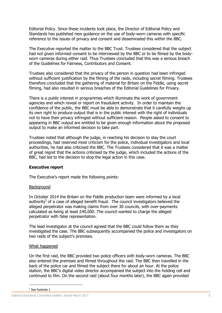Editorial Policy. Since these incidents took place, the Director of Editorial Policy and Standards has published new guidance on the use of body-worn cameras with specific reference to the issues of privacy and consent and disseminated this within the BBC.

The Executive reported the matter to the BBC Trust. Trustees considered that the subject had not given informed consent to be interviewed by the BBC or to be filmed by the bodyworn cameras during either raid. Thus Trustees concluded that this was a serious breach of the Guidelines for Fairness, Contributors and Consent.

Trustees also considered that the privacy of the person in question had been infringed without sufficient justification by the filming of the raids, including secret filming. Trustees therefore concluded that the gathering of material for Britain on the Fiddle, using secret filming, had also resulted in serious breaches of the Editorial Guidelines for Privacy.

There is a public interest in programmes which illuminate the work of government agencies and which reveal or report on fraudulent activity. In order to maintain the confidence of the public, the BBC must be able to demonstrate that it carefully weighs up its own right to produce output that is in the public interest with the right of individuals not to have their privacy infringed without sufficient reason. People asked to consent to appearing in BBC output are entitled to be given enough information about the proposed output to make an informed decision to take part.

Trustees noted that although the judge, in reaching his decision to stay the court proceedings, had reserved most criticism for the police, individual investigators and local authorities, he had also criticised the BBC. The Trustees considered that it was a matter of great regret that the actions criticised by the judge, which included the actions of the BBC, had led to the decision to stop the legal action in this case.

#### **Executive report**

The Executive's report made the following points:

#### Background

In October 2014 the Britain on the Fiddle production team were informed by a local authority<sup>5</sup> of a case of alleged benefit fraud. The council investigators believed the alleged perpetrator was making claims from over 30 councils, with over-payments calculated as being at least £40,000. The council wanted to charge the alleged perpetrator with false representation.

The lead investigator at the council agreed that the BBC could follow them as they investigated the case. The BBC subsequently accompanied the police and investigators on two raids of the subject's premises.

#### What happened

On the first raid, the BBC provided two police officers with body-worn cameras. The BBC also entered the premises and filmed throughout the raid. The BBC then travelled in the back of the police car and filmed the subject there for about an hour. At the police station, the BBC's digital video director accompanied the subject into the holding cell and continued to film. On the second raid (about four months later), the BBC again provided

<sup>5</sup> See footnote 1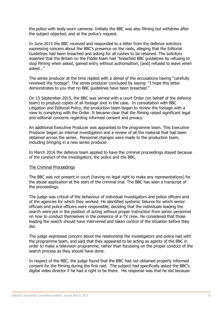the police with body-worn cameras. Initially the BBC was also filming but withdrew after the subject objected, and at the police's request.

In June 2015 the BBC received and responded to a letter from the defence solicitors expressing concern about the BBC's presence on the raids, alleging that the Editorial Guidelines had been breached and asking for all rushes to be retained. The solicitors asserted that the Britain on the Fiddle team had "breached BBC guidelines by refusing to stop filming when asked, gained entry without authorisation, [and] refused to leave when asked..."

The series producer at the time replied with a denial of the accusations having "carefully reviewed the footage". The series producer concluded by saying: "I hope this letter demonstrates to you that no BBC guidelines have been breached."

On 15 September 2015, the BBC was served with a court Order (on behalf of the defence team) to produce copies of all footage shot in the case. In consultation with BBC Litigation and Editorial Policy, the production team began to review the footage with a view to complying with the Order. It became clear that the filming raised significant legal and editorial concerns regarding informed consent and privacy.

An additional Executive Producer was appointed to the programme team. This Executive Producer began an internal investigation and a review of all the material that had been obtained across the series. Personnel changes were made to the production team, including bringing in a new series producer.

In March 2016 the defence team applied to have the criminal proceedings stayed because of the conduct of the investigators, the police and the BBC.

#### The Criminal Proceedings

The BBC was not present in court (having no legal right to make any representations) for the abuse application at the start of the criminal trial. The BBC has seen a transcript of the proceedings.

The judge was critical of the behaviour of individual investigators and police officers and of the agencies for which they worked. He identified systemic failures for which senior officials and police officers were responsible, deciding that the individuals leading the search were put in the position of acting without proper instruction from senior personnel on how to conduct themselves in the presence of a TV crew. He considered that those leading the search should have intervened and taken control of the situation before they did.

The judge expressed concern about the relationship the investigators and police had with the programme team, and said that they appeared to be acting as agents of the BBC in order to make a television programme, rather than focussing on the proper conduct of the search process as they should have done.

In respect of the BBC, the judge found that the BBC had not obtained properly informed consent for the filming during the first raid. The subject had specifically asked the BBC's digital video director if he had a right to be there. His response was that he did because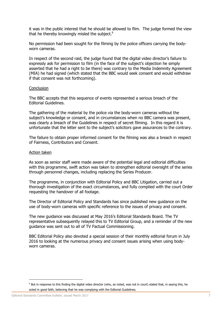it was in the public interest that he should be allowed to film. The judge formed the view that he thereby knowingly misled the subject.<sup>6</sup>

No permission had been sought for the filming by the police officers carrying the bodyworn cameras.

In respect of the second raid, the judge found that the digital video director's failure to expressly ask for permission to film (in the face of the subject's objection he simply asserted that he had a right to be there) was contrary to the Media Indemnity Agreement (MIA) he had signed (which stated that the BBC would seek consent and would withdraw if that consent was not forthcoming).

#### **Conclusion**

The BBC accepts that this sequence of events represented a serious breach of the Editorial Guidelines.

The gathering of the material by the police via the body-worn cameras without the subject's knowledge or consent, and in circumstances when no BBC camera was present, was clearly a breach of the Guidelines in respect of secret filming. In this regard it is unfortunate that the letter sent to the subject's solicitors gave assurances to the contrary.

The failure to obtain proper informed consent for the filming was also a breach in respect of Fairness, Contributors and Consent.

#### Action taken

As soon as senior staff were made aware of the potential legal and editorial difficulties with this programme, swift action was taken to strengthen editorial oversight of the series through personnel changes, including replacing the Series Producer.

The programme, in conjunction with Editorial Policy and BBC Litigation, carried out a thorough investigation of the exact circumstances, and fully complied with the court Order requesting the handover of all footage.

The Director of Editorial Policy and Standards has since published new guidance on the use of body-worn cameras with specific reference to the issues of privacy and consent.

The new guidance was discussed at May 2016's Editorial Standards Board. The TV representative subsequently relayed this to TV Editorial Group, and a reminder of the new guidance was sent out to all of TV Factual Commissioning.

BBC Editorial Policy also devoted a special session of their monthly editorial forum in July 2016 to looking at the numerous privacy and consent issues arising when using bodyworn cameras.

 $6$  But in response to this finding the digital video director (who, as noted, was not in court) stated that, in saying this, he acted in good faith, believing that he was complying with the Editorial Guidelines.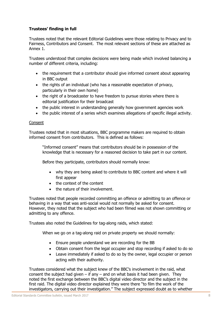#### **Trustees' finding in full**

Trustees noted that the relevant Editorial Guidelines were those relating to Privacy and to Fairness, Contributors and Consent. The most relevant sections of these are attached as Annex 1.

Trustees understood that complex decisions were being made which involved balancing a number of different criteria, including:

- the requirement that a contributor should give informed consent about appearing in BBC output
- the rights of an individual (who has a reasonable expectation of privacy, particularly in their own home)
- the right of a broadcaster to have freedom to pursue stories where there is editorial justification for their broadcast
- the public interest in understanding generally how government agencies work
- the public interest of a series which examines allegations of specific illegal activity.

#### Consent

Trustees noted that in most situations, BBC programme makers are required to obtain informed consent from contributors. This is defined as follows:

"Informed consent" means that contributors should be in possession of the knowledge that is necessary for a reasoned decision to take part in our content.

Before they participate, contributors should normally know:

- why they are being asked to contribute to BBC content and where it will first appear
- the context of the content
- the nature of their involvement.

Trustees noted that people recorded committing an offence or admitting to an offence or behaving in a way that was anti-social would not normally be asked for consent. However, they noted that the subject who had been filmed was not shown committing or admitting to any offence.

Trustees also noted the Guidelines for tag-along raids, which stated:

When we go on a tag-along raid on private property we should normally:

- Ensure people understand we are recording for the BB
- Obtain consent from the legal occupier and stop recording if asked to do so
- Leave immediately if asked to do so by the owner, legal occupier or person acting with their authority.

Trustees considered what the subject knew of the BBC's involvement in the raid, what consent the subject had given  $-$  if any  $-$  and on what basis it had been given. They noted the first exchange between the BBC's digital video director and the subject in the first raid. The digital video director explained they were there "to film the work of the investigators, carrying out their investigation." The subject expressed doubt as to whether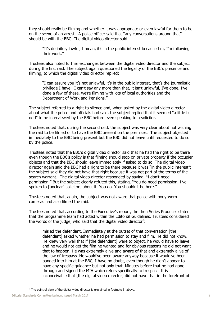they should really be filming and whether it was appropriate or even lawful for them to be on the scene of an arrest. A police officer said that "any conversations around that" should be with the BBC. The digital video director said:

"It's definitely lawful, I mean, it's in the public interest because I'm, I'm following their work."

Trustees also noted further exchanges between the digital video director and the subject during the first raid. The subject again questioned the legality of the BBC's presence and filming, to which the digital video director replied:

"I can assure you it's not unlawful, it's in the public interest, that's the journalistic privilege I have. I can't say any more than that, it isn't unlawful, I've done, I've done a few of these, we're filming with lots of local authorities and the Department of Work and Pensions."

The subject referred to a right to silence and, when asked by the digital video director about what the police and officials had said, the subject replied that it seemed "a little bit odd" to be interviewed by the BBC before even speaking to a solicitor.

Trustees noted that, during the second raid, the subject was very clear about not wishing the raid to be filmed or to have the BBC present on the premises. The subject objected immediately to the BBC being present but the BBC did not leave until requested to do so by the police.

Trustees noted that the BBC's digital video director said that he had the right to be there even though the BBC's policy is that filming should stop on private property if the occupier objects and that the BBC should leave immediately if asked to do so. The digital video director again said the BBC had a right to be there because it was "in the public interest"; the subject said they did not have that right because it was not part of the terms of the search warrant. The digital video director responded by saying, "I don't need permission." But the subject clearly refuted this, stating, "You do need permission, I've spoken to [unclear] solicitors about it. You do. You shouldn't be here."

Trustees noted that, again, the subject was not aware that police with body-worn cameras had also filmed the raid.

Trustees noted that, according to the Executive's report, the then Series Producer stated that the programme team had acted within the Editorial Guidelines. Trustees considered the words of the judge, who said that the digital video director<sup>7</sup>:

misled the defendant. Immediately at the outset of that conversation [the defendant] asked whether he had permission to stay and film. He did not know. He knew very well that if [the defendant] were to object, he would have to leave and he would not get the film he wanted and for obvious reasons he did not want that to happen. He was extremely alive and aware of that and extremely alive of the law of trespass. He would've been aware anyway because it would've been banged into him at the BBC, I have no doubt, even though he didn't appear to have any specific guidance but not only that. Minutes before that he had gone through and signed the MIA which refers specifically to trespass. It is inconceivable that [the digital video director] did not have that in the forefront of

 $7$  The point of view of the digital video director is explained in footnote 3, above.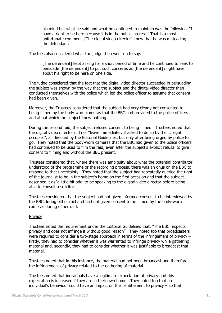his mind but what he said and what he continued to maintain was the following. "I have a right to be here because it is in the public interest." That is a most unfortunate comment. [The digital video director] knew that he was misleading the defendant.

Trustees also considered what the judge then went on to say:

[The defendant] kept asking for a short period of time and he continued to seek to persuade [the defendant] to put such concerns as [the defendant] might have about his right to be here on one side.

The judge considered that the fact that the digital video director succeeded in persuading the subject was shown by the way that the subject and the digital video director then conducted themselves with the police which led the police officer to assume that consent had been given.

Moreover, the Trustees considered that the subject had very clearly not consented to being filmed by the body-worn cameras that the BBC had provided to the police officers and about which the subject knew nothing.

During the second raid, the subject refused consent to being filmed. Trustees noted that the digital video director did not "leave immediately if asked to do so by the … legal occupier", as directed by the Editorial Guidelines, but only after being urged by police to go. They noted that the body-worn cameras that the BBC had given to the police officers had continued to be used to film the raid, even after the subject's explicit refusal to give consent to filming and without the BBC present.

Trustees considered that, where there was ambiguity about what the potential contributor understood of the programme or the recording process, there was an onus on the BBC to respond to that uncertainty. They noted that the subject had repeatedly queried the right of the journalist to be in the subject's home on the first occasion and that the subject described it as 'a little bit odd' to be speaking to the digital video director before being able to consult a solicitor.

Trustees considered that the subject had not given informed consent to be interviewed by the BBC during either raid and had not given consent to be filmed by the body-worn cameras during either raid.

#### **Privacy**

Trustees noted the requirement under the Editorial Guidelines that: "The BBC respects privacy and does not infringe it without good reason". They noted too that broadcasters were required to consider a two-stage approach in terms of the infringement of privacy – firstly, they had to consider whether it was warranted to infringe privacy while gathering material and, secondly, they had to consider whether it was justifiable to broadcast that material.

Trustees noted that in this instance, the material had not been broadcast and therefore the infringement of privacy related to the gathering of material.

Trustees noted that individuals have a legitimate expectation of privacy and this expectation is increased if they are in their own home. They noted too that an individual's behaviour could have an impact on their entitlement to privacy – so that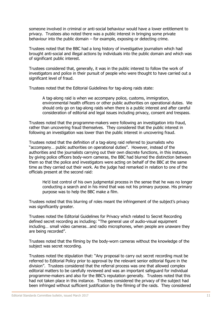someone involved in criminal or anti-social behaviour would have a lower entitlement to privacy. Trustees also noted there was a public interest in bringing some private behaviour into the public domain – for example, exposing or detecting crime.

Trustees noted that the BBC had a long history of investigative journalism which had brought anti-social and illegal actions by individuals into the public domain and which was of significant public interest.

Trustees considered that, generally, it was in the public interest to follow the work of investigators and police in their pursuit of people who were thought to have carried out a significant level of fraud.

Trustees noted that the Editorial Guidelines for tag-along raids state:

A tag-along raid is when we accompany police, customs, immigration, environmental health officers or other public authorities on operational duties. We should only go on tag-along raids when there is a public interest and after careful consideration of editorial and legal issues including privacy, consent and trespass.

Trustees noted that the programme-makers were following an investigation into fraud, rather than uncovering fraud themselves. They considered that the public interest in following an investigation was lower than the public interest in uncovering fraud.

Trustees noted that the definition of a tag-along raid referred to journalists who "accompany… public authorities on operational duties". However, instead of the authorities and the journalists carrying out their own discrete functions, in this instance, by giving police officers body-worn cameras, the BBC had blurred the distinction between them so that the police and investigators were acting on behalf of the BBC at the same time as they carried out their work. As the judge had remarked in relation to one of the officials present at the second raid:

He'd lost control of his own judgmental process in the sense that he was no longer conducting a search and in his mind that was not his primary purpose. His primary purpose was to help the BBC make a film.

Trustees noted that this blurring of roles meant the infringement of the subject's privacy was significantly greater.

Trustees noted the Editorial Guidelines for Privacy which related to Secret Recording defined secret recording as including: "The general use of audio-visual equipment including… small video cameras…and radio microphones, when people are unaware they are being recorded".

Trustees noted that the filming by the body-worn cameras without the knowledge of the subject was secret recording.

Trustees noted the stipulation that: "Any proposal to carry out secret recording must be referred to Editorial Policy prior to approval by the relevant senior editorial figure in the division". Trustees considered that the referral process was one that allowed complex editorial matters to be carefully reviewed and was an important safeguard for individual programme-makers and also for the BBC's reputation generally. Trustees noted that this had not taken place in this instance. Trustees considered the privacy of the subject had been infringed without sufficient justification by the filming of the raids. They considered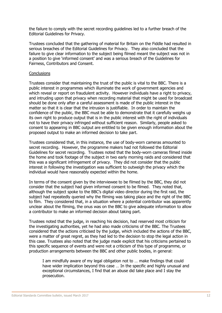the failure to comply with the secret recording guidelines led to a further breach of the Editorial Guidelines for Privacy.

Trustees concluded that the gathering of material for Britain on the Fiddle had resulted in serious breaches of the Editorial Guidelines for Privacy. They also concluded that the failure to give clear information to the subject being filmed meant the subject was not in a position to give 'informed consent' and was a serious breach of the Guidelines for Fairness, Contributors and Consent.

#### **Conclusions**

Trustees consider that maintaining the trust of the public is vital to the BBC. There is a public interest in programmes which illuminate the work of government agencies and which reveal or report on fraudulent activity. However individuals have a right to privacy, and intruding upon that privacy when recording material that might be used for broadcast should be done only after a careful assessment is made of the public interest in the matter so that it is clear that the intrusion is justifiable. In order to maintain the confidence of the public, the BBC must be able to demonstrate that it carefully weighs up its own right to produce output that is in the public interest with the right of individuals not to have their privacy infringed without sufficient reason. Similarly, people asked to consent to appearing in BBC output are entitled to be given enough information about the proposed output to make an informed decision to take part.

Trustees considered that, in this instance, the use of body-worn cameras amounted to secret recording. However, the programme makers had not followed the Editorial Guidelines for secret recording. Trustees noted that the body-worn cameras filmed inside the home and took footage of the subject in two early morning raids and considered that this was a significant infringement of privacy. They did not consider that the public interest in following the investigation was sufficient to outweigh the privacy which the individual would have reasonably expected within the home.

In terms of the consent given by the interviewee to be filmed by the BBC, they did not consider that the subject had given informed consent to be filmed. They noted that, although the subject spoke to the BBC's digital video director during the first raid, the subject had repeatedly queried why the filming was taking place and the right of the BBC to film. They considered that, in a situation where a potential contributor was apparently unclear about the filming, the onus was on the BBC to give adequate information to allow a contributor to make an informed decision about taking part.

Trustees noted that the judge, in reaching his decision, had reserved most criticism for the investigating authorities, yet he had also made criticisms of the BBC. The Trustees considered that the actions criticised by the judge, which included the actions of the BBC, were a matter of great regret, as they had led to the decision to stop the legal action in this case. Trustees also noted that the judge made explicit that his criticisms pertained to this specific sequence of events and were not a criticism of this type of programme, or production arrangements between the BBC and other public bodies, in general:

I am mindfully aware of my legal obligation not to … make findings that could have wider implication beyond this case … In the specific and highly unusual and exceptional circumstances, I find that an abuse did take place and I stay the prosecution.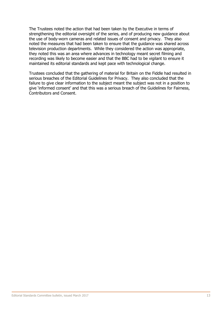The Trustees noted the action that had been taken by the Executive in terms of strengthening the editorial oversight of the series, and of producing new guidance about the use of body-worn cameras and related issues of consent and privacy. They also noted the measures that had been taken to ensure that the guidance was shared across television production departments. While they considered the action was appropriate, they noted this was an area where advances in technology meant secret filming and recording was likely to become easier and that the BBC had to be vigilant to ensure it maintained its editorial standards and kept pace with technological change.

Trustees concluded that the gathering of material for Britain on the Fiddle had resulted in serious breaches of the Editorial Guidelines for Privacy. They also concluded that the failure to give clear information to the subject meant the subject was not in a position to give 'informed consent' and that this was a serious breach of the Guidelines for Fairness, Contributors and Consent.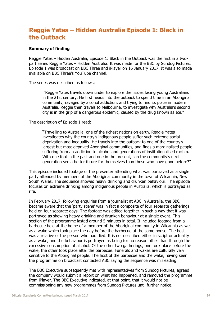# <span id="page-14-0"></span>**Reggie Yates – Hidden Australia Episode 1: Black in the Outback**

#### **Summary of finding**

Reggie Yates – Hidden Australia, Episode 1: Black in the Outback was the first in a twopart series Reggie Yates – Hidden Australia. It was made for the BBC by Sundog Pictures. Episode 1 was broadcast on BBC Three and iPlayer on 16 January 2017. It was also made available on BBC Three's YouTube channel.

The series was described as follows:

"Reggie Yates travels down under to explore the issues facing young Australians in the 21st century. He first heads into the outback to spend time in an Aboriginal community, ravaged by alcohol addiction, and trying to find its place in modern Australia. Reggie then travels to Melbourne, to investigate why Australia's second city is in the grip of a dangerous epidemic, caused by the drug known as Ice."

The description of Episode 1 read:

"Travelling to Australia, one of the richest nations on earth, Reggie Yates investigates why the country's indigenous people suffer such extreme social deprivation and inequality. He travels into the outback to one of the country's largest but most deprived Aboriginal communities, and finds a marginalised people suffering from an addiction to alcohol and generations of institutionalised racism. With one foot in the past and one in the present, can the community's next generation see a better future for themselves than those who have gone before?"

This episode included footage of the presenter attending what was portrayed as a single party attended by members of the Aboriginal community in the town of Wilcannia, New South Wales. The sequence showed heavy drinking and drunken behaviour. The episode focuses on extreme drinking among indigenous people in Australia, which is portrayed as rife.

In February 2017, following enquiries from a journalist at ABC in Australia, the BBC became aware that the 'party scene' was in fact a composite of four separate gatherings held on four separate days. The footage was edited together in such a way that it was portrayed as showing heavy drinking and drunken behaviour at a single event. This section of the programme lasted around 5 minutes in total. It included footage from a barbecue held at the home of a member of the Aboriginal community in Wilcannia as well as a wake which took place the day before the barbecue at the same house. The host was a relative of the person who had died. It is not described either in script or actuality as a wake, and the behaviour is portrayed as being for no reason other than through the excessive consumption of alcohol. Of the other two gatherings, one took place before the wake, the other took place after the barbecue. Funerals and wakes are culturally very sensitive to the Aboriginal people. The host of the barbecue and the wake, having seen the programme on broadcast contacted ABC saying the sequence was misleading.

The BBC Executive subsequently met with representatives from Sundog Pictures, agreed the company would submit a report on what had happened, and removed the programme from iPlayer. The BBC Executive indicated, at that point, that it would not be commissioning any new programmes from Sundog Pictures until further notice.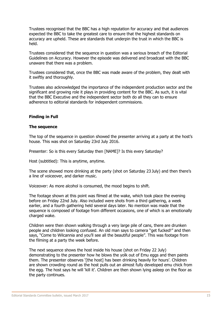Trustees recognised that the BBC has a high reputation for accuracy and that audiences expected the BBC to take the greatest care to ensure that the highest standards on accuracy are upheld. These are standards that underpin the trust in which the BBC is held.

Trustees considered that the sequence in question was a serious breach of the Editorial Guidelines on Accuracy. However the episode was delivered and broadcast with the BBC unaware that there was a problem.

Trustees considered that, once the BBC was made aware of the problem, they dealt with it swiftly and thoroughly.

Trustees also acknowledged the importance of the independent production sector and the significant and growing role it plays in providing content for the BBC. As such, it is vital that the BBC Executive and the independent sector both do all they can to ensure adherence to editorial standards for independent commissions.

#### **Finding in Full**

#### **The sequence**

The top of the sequence in question showed the presenter arriving at a party at the host's house. This was shot on Saturday 23rd July 2016.

Presenter: So is this every Saturday then [NAME]? Is this every Saturday?

Host (subtitled): This is anytime, anytime.

The scene showed more drinking at the party (shot on Saturday 23 July) and then there's a line of voiceover, and darker music.

Voiceover: As more alcohol is consumed, the mood begins to shift.

The footage shown at this point was filmed at the wake, which took place the evening before on Friday 22nd July. Also included were shots from a third gathering, a week earlier, and a fourth gathering held several days later. No mention was made that the sequence is composed of footage from different occasions, one of which is an emotionally charged wake.

Children were then shown walking through a very large pile of cans, there are drunken people and children looking confused. An old man says to camera "get fucked!" and then says, "Come to Wilcannia and you'll see all the beautiful people". This was footage from the filming at a party the week before.

The next sequence shows the host inside his house (shot on Friday 22 July) demonstrating to the presenter how he blows the yolk out of Emu eggs and then paints them. The presenter observes '[the host] has been drinking heavily for hours'. Children are shown crowding round as the host pulls out an almost fully developed emu chick from the egg. The host says he will 'kill it'. Children are then shown lying asleep on the floor as the party continues.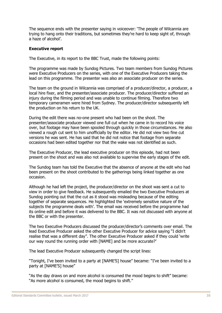The sequence ends with the presenter saying in voiceover: 'The people of Wilcannia are trying to hang onto their traditions, but sometimes they're hard to keep sight of, through a haze of alcohol'.

#### **Executive report**

The Executive, in its report to the BBC Trust, made the following points:

The programme was made by Sundog Pictures. Two team members from Sundog Pictures were Executive Producers on the series, with one of the Executive Producers taking the lead on this programme. The presenter was also an associate producer on the series.

The team on the ground in Wilcannia was comprised of a producer/director, a producer, a local hire fixer, and the presenter/associate producer. The producer/director suffered an injury during the filming period and was unable to continue filming. Therefore two temporary cameramen were hired from Sydney. The producer/director subsequently left the production on his return to the UK.

During the edit there was no-one present who had been on the shoot. The presenter/associate producer viewed one full cut when he came in to record his voice over, but footage may have been spooled through quickly in those circumstances. He also viewed a rough cut sent to him unofficially by the editor. He did not view two fine cut versions he was sent. He has said that he did not notice that footage from separate occasions had been edited together nor that the wake was not identified as such.

The Executive Producer, the lead executive producer on this episode, had not been present on the shoot and was also not available to supervise the early stages of the edit.

The Sundog team has told the Executive that the absence of anyone at the edit who had been present on the shoot contributed to the gatherings being linked together as one occasion.

Although he had left the project, the producer/director on the shoot was sent a cut to view in order to give feedback. He subsequently emailed the two Executive Producers at Sundog pointing out that the cut as it stood was misleading because of the editing together of separate sequences. He highlighted the 'extremely sensitive nature of the subjects the programme deals with'. The email was received before the programme had its online edit and before it was delivered to the BBC. It was not discussed with anyone at the BBC or with the presenter.

The two Executive Producers discussed the producer/director's comments over email. The lead Executive Producer asked the other Executive Producer for advice saying "I didn't realise that was a different day". The other Executive Producer asked if they could 'write our way round the running order with [NAME] and be more accurate?'

The lead Executive Producer subsequently changed the script lines:

"Tonight, I've been invited to a party at [NAME'S] house" became: "I've been invited to a party at [NAME'S] house"

"As the day draws on and more alcohol is consumed the mood begins to shift" became: "As more alcohol is consumed, the mood begins to shift."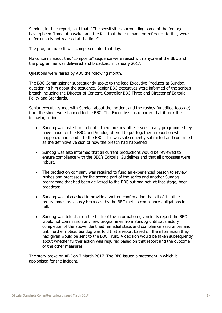Sundog, in their report, said that: "The sensitivities surrounding some of the footage having been filmed at a wake, and the fact that the cut made no reference to this, were unfortunately not realised at the time".

The programme edit was completed later that day.

No concerns about this "composite" sequence were raised with anyone at the BBC and the programme was delivered and broadcast in January 2017.

Questions were raised by ABC the following month.

The BBC Commissioner subsequently spoke to the lead Executive Producer at Sundog, questioning him about the sequence. Senior BBC executives were informed of the serious breach including the Director of Content, Controller BBC Three and Director of Editorial Policy and Standards.

Senior executives met with Sundog about the incident and the rushes (unedited footage) from the shoot were handed to the BBC. The Executive has reported that it took the following actions:

- Sundog was asked to find out if there are any other issues in any programme they have made for the BBC, and Sundog offered to put together a report on what happened and send it to the BBC. This was subsequently submitted and confirmed as the definitive version of how the breach had happened
- Sundog was also informed that all current productions would be reviewed to ensure compliance with the BBC's Editorial Guidelines and that all processes were robust.
- The production company was required to fund an experienced person to review rushes and processes for the second part of the series and another Sundog programme that had been delivered to the BBC but had not, at that stage, been broadcast.
- Sundog was also asked to provide a written confirmation that all of its other programmes previously broadcast by the BBC met its compliance obligations in full.
- Sundog was told that on the basis of the information given in its report the BBC would not commission any new programmes from Sundog until satisfactory completion of the above identified remedial steps and compliance assurances and until further notice. Sundog was told that a report based on the information they had given would be sent to the BBC Trust. A decision would be taken subsequently about whether further action was required based on that report and the outcome of the other measures.

The story broke on ABC on 7 March 2017. The BBC issued a statement in which it apologised for the incident.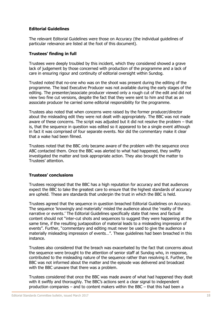#### **Editorial Guidelines**

The relevant Editorial Guidelines were those on Accuracy (the individual guidelines of particular relevance are listed at the foot of this document).

#### **Trustees' finding in full**

Trustees were deeply troubled by this incident, which they considered showed a grave lack of judgement by those concerned with production of the programme and a lack of care in ensuring rigour and continuity of editorial oversight within Sundog.

Trusted noted that no-one who was on the shoot was present during the editing of the programme. The lead Executive Producer was not available during the early stages of the editing. The presenter/associate producer viewed only a rough cut of the edit and did not view two fine cut versions, despite the fact that they were sent to him and that as an associate producer he carried some editorial responsibility for the programme.

Trustees also noted that when concerns were raised by the former producer/director about the misleading edit they were not dealt with appropriately. The BBC was not made aware of these concerns. The script was adjusted but it did not resolve the problem – that is, that the sequence in question was edited so it appeared to be a single event although in fact it was comprised of four separate events. Nor did the commentary make it clear that a wake had been filmed.

Trustees noted that the BBC only became aware of the problem with the sequence once ABC contacted them. Once the BBC was alerted to what had happened, they swiftly investigated the matter and took appropriate action. They also brought the matter to Trustees' attention.

#### **Trustees' conclusions**

Trustees recognised that the BBC has a high reputation for accuracy and that audiences expect the BBC to take the greatest care to ensure that the highest standards of accuracy are upheld. These are standards that underpin the trust in which the BBC is held.

Trustees agreed that the sequence in question breached Editorial Guidelines on Accuracy. The sequence 'knowingly and materially' misled the audience about the 'reality of the narrative or events.' The Editorial Guidelines specifically state that news and factual content should not "inter-cut shots and sequences to suggest they were happening at the same time, if the resulting juxtaposition of material leads to a misleading impression of events". Further, "commentary and editing must never be used to give the audience a materially misleading impression of events…". These guidelines had been breached in this instance.

Trustees also considered that the breach was exacerbated by the fact that concerns about the sequence were brought to the attention of senior staff at Sundog who, in response, contributed to the misleading nature of the sequence rather than resolving it. Further, the BBC was not informed about the matter and the episode was delivered and broadcast with the BBC unaware that there was a problem.

Trustees considered that once the BBC was made aware of what had happened they dealt with it swiftly and thoroughly. The BBC's actions sent a clear signal to independent production companies – and to content makers within the BBC – that this had been a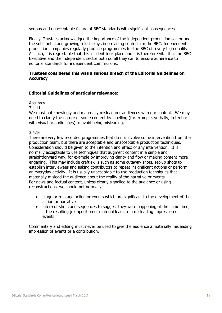serious and unacceptable failure of BBC standards with significant consequences.

Finally, Trustees acknowledged the importance of the independent production sector and the substantial and growing role it plays in providing content for the BBC. Independent production companies regularly produce programmes for the BBC of a very high quality. As such, it is regrettable that this incident took place and it is therefore vital that the BBC Executive and the independent sector both do all they can to ensure adherence to editorial standards for independent commissions.

#### **Trustees considered this was a serious breach of the Editorial Guidelines on Accuracy**

#### **Editorial Guidelines of particular relevance:**

#### **Accuracy**

3.4.11

We must not knowingly and materially mislead our audiences with our content. We may need to clarify the nature of some content by labelling (for example, verbally, in text or with visual or audio cues) to avoid being misleading.

#### 3.4.16

There are very few recorded programmes that do not involve some intervention from the production team, but there are acceptable and unacceptable production techniques. Consideration should be given to the intention and effect of any intervention. It is normally acceptable to use techniques that augment content in a simple and straightforward way, for example by improving clarity and flow or making content more engaging. This may include craft skills such as some cutaway shots, set-up shots to establish interviewees and asking contributors to repeat insignificant actions or perform an everyday activity. It is usually unacceptable to use production techniques that materially mislead the audience about the reality of the narrative or events. For news and factual content, unless clearly signalled to the audience or using reconstructions, we should not normally:

- stage or re-stage action or events which are significant to the development of the action or narrative
- inter-cut shots and sequences to suggest they were happening at the same time, if the resulting juxtaposition of material leads to a misleading impression of events.

Commentary and editing must never be used to give the audience a materially misleading impression of events or a contribution.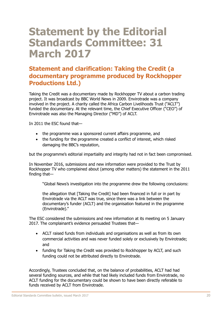# <span id="page-20-0"></span>**Statement by the Editorial Standards Committee: 31 March 2017**

# <span id="page-20-1"></span>**Statement and clarification: Taking the Credit (a documentary programme produced by Rockhopper Productions Ltd.)**

Taking the Credit was a documentary made by Rockhopper TV about a carbon trading project. It was broadcast by BBC World News in 2009. Envirotrade was a company involved in the project. A charity called the Africa Carbon Livelihoods Trust ("ACLT") funded the documentary. At the relevant time, the Chief Executive Officer ("CEO") of Envirotrade was also the Managing Director ("MD") of ACLT.

In 2011 the ESC found that—

- the programme was a sponsored current affairs programme, and
- the funding for the programme created a conflict of interest, which risked damaging the BBC's reputation,

but the programme's editorial impartiality and integrity had not in fact been compromised.

In November 2016, submissions and new information were provided to the Trust by Rockhopper TV who complained about (among other matters) the statement in the 2011 finding that—

"Global News's investigation into the programme drew the following conclusions:

the allegation that [Taking the Credit] had been financed in full or in part by Envirotrade via the ACLT was true, since there was a link between the documentary's funder (ACLT) and the organisation featured in the programme (Envirotrade)."

The ESC considered the submissions and new information at its meeting on 5 January 2017. The complainant's evidence persuaded Trustees that—

- ACLT raised funds from individuals and organisations as well as from its own commercial activities and was never funded solely or exclusively by Envirotrade; and
- funding for Taking the Credit was provided to Rockhopper by ACLT, and such funding could not be attributed directly to Envirotrade.

Accordingly, Trustees concluded that, on the balance of probabilities, ACLT had had several funding sources, and while that had likely included funds from Envirotrade, no ACLT funding for the documentary could be shown to have been directly referable to funds received by ACLT from Envirotrade.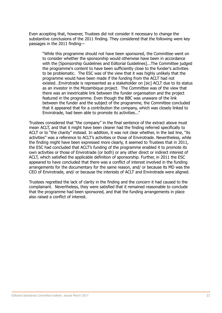Even accepting that, however, Trustees did not consider it necessary to change the substantive conclusions of the 2011 finding. They considered that the following were key passages in the 2011 finding—

"While this programme should not have been sponsored, the Committee went on to consider whether the sponsorship would otherwise have been in accordance with the [Sponsorship Guidelines and Editorial Guidelines]...The Committee judged the programme's content to have been sufficiently close to the funder's activities to be problematic. The ESC was of the view that it was highly unlikely that the programme would have been made if the funding from the ACLT had not existed…Envirotrade is represented as a stakeholder on [sic] ACLT due to its status as an investor in the Mozambique project. The Committee was of the view that there was an inextricable link between the funder organisation and the project featured in the programme. Even though the BBC was unaware of the link between the funder and the subject of the programme, the Committee concluded that it appeared that for a contribution the company, which was closely linked to Envirotrade, had been able to promote its activities..."

Trustees considered that "the company" in the final sentence of the extract above must mean ACLT, and that it might have been clearer had the finding referred specifically to ACLT or to "the charity" instead. In addition, it was not clear whether, in the last line, "its activities" was a reference to ACLT's activities or those of Envirotrade. Nevertheless, while the finding might have been expressed more clearly, it seemed to Trustees that in 2011, the ESC had concluded that ACLT's funding of the programme enabled it to promote its own activities or those of Envirotrade (or both) or any other direct or indirect interest of ACLT, which satisfied the applicable definition of sponsorship. Further, in 2011 the ESC appeared to have concluded that there was a conflict of interest involved in the funding arrangements for the documentary for the same reason, and/ or because its MD was the CEO of Envirotrade, and/ or because the interests of ACLT and Envirotrade were aligned.

Trustees regretted the lack of clarity in the finding and the concern it had caused to the complainant. Nevertheless, they were satisfied that it remained reasonable to conclude that the programme had been sponsored, and that the funding arrangements in place also raised a conflict of interest.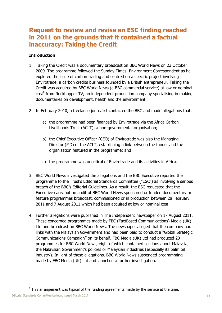## <span id="page-22-0"></span>**Request to review and revise an ESC finding reached in 2011 on the grounds that it contained a factual inaccuracy: Taking the Credit**

#### **Introduction**

- 1. Taking the Credit was a documentary broadcast on BBC World News on 23 October 2009. The programme followed the Sunday Times Environment Correspondent as he explored the issue of carbon trading and centred on a specific project involving Envirotrade, a carbon credits business founded by a British entrepreneur. Taking the Credit was acquired by BBC World News (a BBC commercial service) at low or nominal cost<sup>8</sup> from Rockhopper TV, an independent production company specialising in making documentaries on development, health and the environment.
- 2. In February 2010, a freelance journalist contacted the BBC and made allegations that:
	- a) the programme had been financed by Envirotrade via the Africa Carbon Livelihoods Trust (ACLT), a non-governmental organisation;
	- b) the Chief Executive Officer (CEO) of Envirotrade was also the Managing Director (MD) of the ACLT, establishing a link between the funder and the organisation featured in the programme; and
	- c) the programme was uncritical of Envirotrade and its activities in Africa.
- 3. BBC World News investigated the allegations and the BBC Executive reported the programme to the Trust's Editorial Standards Committee ("ESC") as involving a serious breach of the BBC's Editorial Guidelines. As a result, the ESC requested that the Executive carry out an audit of BBC World News sponsored or funded documentary or feature programmes broadcast, commissioned or in production between 28 February 2011 and 7 August 2011 which had been acquired at low or nominal cost.
- 4. Further allegations were published in The Independent newspaper on 17 August 2011. These concerned programmes made by FBC (FactBased Communications) Media (UK) Ltd and broadcast on BBC World News. The newspaper alleged that the company had links with the Malaysian Government and had been paid to conduct a "Global Strategic Communications Campaign" on its behalf. FBC Media (UK) Ltd had produced 20 programmes for BBC World News, eight of which contained sections about Malaysia, the Malaysian Government's policies or Malaysian industries (especially its palm oil industry). In light of these allegations, BBC World News suspended programming made by FBC Media (UK) Ltd and launched a further investigation.

 $8$  This arrangement was typical of the funding agreements made by the service at the time.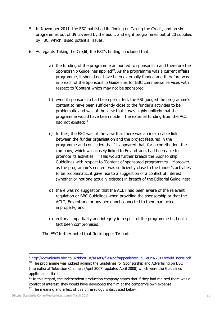- 5. In November 2011, the ESC published its finding on Taking the Credit, and on six programmes out of 39 covered by the audit, and eight programmes out of 20 supplied by FBC, which raised potential issues.<sup>9</sup>
- 6. As regards Taking the Credit, the ESC's finding concluded that:
	- a) the funding of the programme amounted to sponsorship and therefore the Sponsorship Guidelines applied $10$ . As the programme was a current affairs programme, it should not have been externally funded and therefore was in breach of the Sponsorship Guidelines for BBC commercial services with respect to 'Content which may not be sponsored';
	- b) even if sponsorship had been permitted, the ESC judged the programme's content to have been sufficiently close to the funder's activities to be problematic and was of the view that it was highly unlikely that the programme would have been made if the external funding from the ACLT had not existed; $^{11}$
	- c) further, the ESC was of the view that there was an inextricable link between the funder organisation and the project featured in the programme and concluded that "it appeared that, for a contribution, the company, which was closely linked to Envirotrade, had been able to promote its activities."<sup>12</sup> This would further breach the Sponsorship Guidelines with respect to 'Content of sponsored programmes'. Moreover, as the programme's content was sufficiently close to the funder's activities to be problematic, it gave rise to a suggestion of a conflict of interest (whether or not one actually existed) in breach of the Editorial Guidelines;
	- d) there was no suggestion that the ACLT had been aware of the relevant regulation or BBC Guidelines when providing the sponsorship or that the ACLT, Envirotrade or any personnel connected to them had acted improperly; and
	- e) editorial impartiality and integrity in respect of the programme had not in fact been compromised.

The ESC further noted that Rockhopper TV had:

<sup>&</sup>lt;sup>9</sup> [http://downloads.bbc.co.uk/bbctrust/assets/files/pdf/appeals/esc\\_bulletins/2011/world\\_news.pdf](http://downloads.bbc.co.uk/bbctrust/assets/files/pdf/appeals/esc_bulletins/2011/world_news.pdf)

 $10$  The programme was judged against the Guidelines for Sponsorship and Advertising on BBC International Television Channels (April 2007; updated April 2008) which were the Guidelines applicable at the time.

 $11$  In this regard, the independent production company states that if they had realised there was a conflict of interest, they would have developed the film at the company's own expense  $12$  The meaning and effect of this phraseology is discussed below.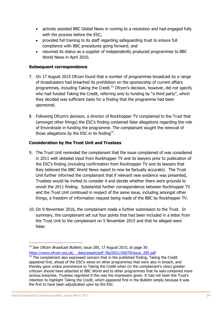- actively assisted BBC Global News in coming to a resolution and had engaged fully with the process before the ESC;
- provided full training to its staff regarding safeguarding trust to ensure full compliance with BBC procedures going forward; and
- resumed its status as a supplier of independently produced programmes to BBC World News in April 2010.

#### **Subsequent correspondence**

- 7. On 17 August 2015 Ofcom found that a number of programmes broadcast by a range of broadcasters had breached its prohibition on the sponsorship of current affairs programmes, including Taking the Credit. $13$  Ofcom's decision, however, did not specify who had funded Taking the Credit, referring only to funding by "a third party", which they decided was sufficient basis for a finding that the programme had been sponsored.
- 8. Following Ofcom's decision, a director of Rockhopper TV complained to the Trust that (amongst other things) the ESC's finding contained false allegations regarding the role of Envirotrade in funding the programme. The complainant sought the removal of those allegations by the ESC in its finding $^{14}$ .

#### **Consideration by the Trust Unit and Trustees**

- 9. The Trust Unit reminded the complainant that the issue complained of was considered in 2011 with detailed input from Rockhopper TV and its lawyers prior to publication of the ESC's finding (including confirmation from Rockhopper TV and its lawyers that they believed the BBC World News report to now be factually accurate). The Trust Unit further informed the complainant that if relevant new evidence was presented, Trustees would be invited to consider it and decide whether there were grounds to revisit the 2011 finding. Substantial further correspondence between Rockhopper TV and the Trust Unit continued in respect of the same issue, including amongst other things, a freedom of information request being made of the BBC by Rockhopper TV.
- 10. On 9 November 2016, the complainant made a further submission to the Trust. In summary, the complainant set out four points that had been included in a letter from the Trust Unit to the complainant on 5 November 2015 and that he alleged were false:

<sup>&</sup>lt;sup>13</sup> See Ofcom Broadcast Bulletin, issue 285, 17 August 2015, at page 30: https://www.ofcom.org.uk/ data/assets/pdf file/0021/50079/issue 285.pdf

 $14$  The complainant also expressed concern that in the published finding, Taking the Credit appeared first, ahead of the ESC's views on other programmes that were also in breach, and thereby gave undue prominence to Taking the Credit when (in the complainant's view) greater criticism should have attached to BBC World and to other programmes that he said contained more serious breaches. Trustees regretted if this was the impression given. It had not been the Trust's intention to highlight Taking the Credit, which appeared first in the Bulletin simply because it was the first to have been adjudicated upon by the ESC.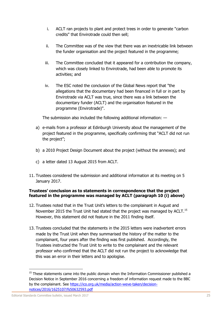- i. ACLT ran projects to plant and protect trees in order to generate "carbon credits" that Envirotrade could then sell;
- ii. The Committee was of the view that there was an inextricable link between the funder organisation and the project featured in the programme;
- iii. The Committee concluded that it appeared for a contribution the company, which was closely linked to Envirotrade, had been able to promote its activities; and
- iv. The ESC noted the conclusion of the Global News report that "the allegations that the documentary had been financed in full or in part by Envirotrade via ACLT was true, since there was a link between the documentary funder (ACLT) and the organisation featured in the programme (Envirotrade)".

The submission also included the following additional information: —

- a) e-mails from a professor at Edinburgh University about the management of the project featured in the programme, specifically confirming that "ACLT did not run the project";
- b) a 2010 Project Design Document about the project (without the annexes); and
- c) a letter dated 13 August 2015 from ACLT.
- 11. Trustees considered the submission and additional information at its meeting on 5 January 2017.

#### **Trustees' conclusion as to statements in correspondence that the project featured in the programme was managed by ACLT (paragraph 10 (i) above)**

- 12. Trustees noted that in the Trust Unit's letters to the complainant in August and November 2015 the Trust Unit had stated that the project was managed by ACLT.<sup>15</sup> However, this statement did not feature in the 2011 finding itself.
- 13. Trustees concluded that the statements in the 2015 letters were inadvertent errors made by the Trust Unit when they summarised the history of the matter to the complainant, four years after the finding was first published. Accordingly, the Trustees instructed the Trust Unit to write to the complainant and the relevant professor who confirmed that the ACLT did not run the project to acknowledge that this was an error in their letters and to apologise.

 $15$  These statements came into the public domain when the Information Commissioner published a Decision Notice in September 2016 concerning a freedom of information request made to the BBC by the complainant. See [https://ico.org.uk/media/action-weve-taken/decision](https://ico.org.uk/media/action-weve-taken/decision-notices/2016/1625107/fs50632593.pdf)[notices/2016/1625107/fs50632593.pdf](https://ico.org.uk/media/action-weve-taken/decision-notices/2016/1625107/fs50632593.pdf)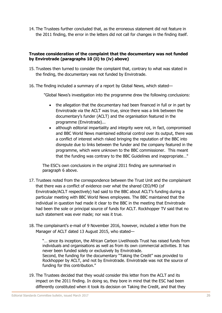14. The Trustees further concluded that, as the erroneous statement did not feature in the 2011 finding, the error in the letters did not call for changes in the finding itself.

#### **Trustee consideration of the complaint that the documentary was not funded by Envirotrade (paragraphs 10 (ii) to (iv) above)**

- 15. Trustees then turned to consider the complaint that, contrary to what was stated in the finding, the documentary was not funded by Envirotrade.
- 16. The finding included a summary of a report by Global News, which stated—

"Global News's investigation into the programme drew the following conclusions:

- the allegation that the documentary had been financed in full or in part by Envirotrade via the ACLT was true, since there was a link between the documentary's funder (ACLT) and the organisation featured in the programme (Envirotrade)...
- although editorial impartiality and integrity were not, in fact, compromised and BBC World News maintained editorial control over its output, there was a conflict of interest which risked bringing the reputation of the BBC into disrepute due to links between the funder and the company featured in the programme, which were unknown to the BBC commissioner. This meant that the funding was contrary to the BBC Guidelines and inappropriate…"

The ESC's own conclusions in the original 2011 finding are summarised in paragraph 6 above.

- 17. Trustees noted from the correspondence between the Trust Unit and the complainant that there was a conflict of evidence over what the shared CEO/MD (of Envirotrade/ACLT respectively) had said to the BBC about ACLT's funding during a particular meeting with BBC World News employees. The BBC maintained that the individual in question had made it clear to the BBC in the meeting that Envirotrade had been the sole or principal source of funds for ACLT. Rockhopper TV said that no such statement was ever made; nor was it true.
- 18. The complainant's e-mail of 9 November 2016, however, included a letter from the Manager of ACLT dated 13 August 2015, who stated—

"… since its inception, the African Carbon Livelihoods Trust has raised funds from individuals and organisations as well as from its own commercial activities. It has never been funded solely or exclusively by Envirotrade. Second, the funding for the documentary "Taking the Credit" was provided to Rockhopper by ACLT, and not by Envirotrade. Envirotrade was not the source of funding for this contribution."

19. The Trustees decided that they would consider this letter from the ACLT and its impact on the 2011 finding. In doing so, they bore in mind that the ESC had been differently constituted when it took its decision on Taking the Credit, and that they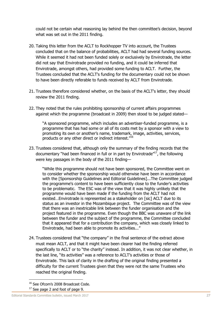could not be certain what reasoning lay behind the then committee's decision, beyond what was set out in the 2011 finding.

- 20. Taking this letter from the ACLT to Rockhopper TV into account, the Trustees concluded that on the balance of probabilities, ACLT had had several funding sources. While it seemed it had not been funded solely or exclusively by Envirotrade, the letter did not say that Envirotrade provided no funding, and it could be inferred that Envirotrade, amongst others, had provided some funding to ACLT. Further, the Trustees concluded that the ACLT's funding for the documentary could not be shown to have been directly referable to funds received by ACLT from Envirotrade.
- 21. Trustees therefore considered whether, on the basis of the ACLT's letter, they should review the 2011 finding.
- 22. They noted that the rules prohibiting sponsorship of current affairs programmes against which the programme (broadcast in 2009) then stood to be judged stated—

"A sponsored programme, which includes an advertiser-funded programme, is a programme that has had some or all of its costs met by a sponsor with a view to promoting its own or another's name, trademark, image, activities, services, products or any other direct or indirect interest."<sup>16</sup>

23. Trustees considered that, although only the summary of the finding records that the documentary "had been financed in full or in part by Envirotrade"<sup>17</sup>, the following were key passages in the body of the 2011 finding—

"While this programme should not have been sponsored, the Committee went on to consider whether the sponsorship would otherwise have been in accordance with the [Sponsorship Guidelines and Editorial Guidelines]...The Committee judged the programme's content to have been sufficiently close to the funder's activities to be problematic. The ESC was of the view that it was highly unlikely that the programme would have been made if the funding from the ACLT had not existed…Envirotrade is represented as a stakeholder on [sic] ACLT due to its status as an investor in the Mozambique project. The Committee was of the view that there was an inextricable link between the funder organisation and the project featured in the programme. Even though the BBC was unaware of the link between the funder and the subject of the programme, the Committee concluded that it appeared that for a contribution the company, which was closely linked to Envirotrade, had been able to promote its activities..."

24. Trustees considered that "the company" in the final sentence of the extract above must mean ACLT, and that it might have been clearer had the finding referred specifically to ACLT or to "the charity" instead. In addition, it was not clear whether, in the last line, "its activities" was a reference to ACLT's activities or those of Envirotrade. This lack of clarity in the drafting of the original finding presented a difficulty for the current Trustees given that they were not the same Trustees who reached the original finding.

 $17$  See page 2 and foot of page 9.

<sup>&</sup>lt;sup>16</sup> See Ofcom's 2008 Broadcast Code.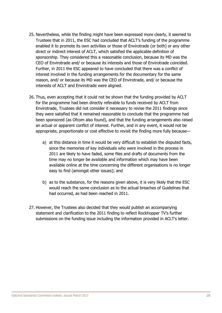- 25. Nevertheless, while the finding might have been expressed more clearly, it seemed to Trustees that in 2011, the ESC had concluded that ACLT's funding of the programme enabled it to promote its own activities or those of Envirotrade (or both) or any other direct or indirect interest of ACLT, which satisfied the applicable definition of sponsorship. They considered this a reasonable conclusion, because its MD was the CEO of Envirotrade and/ or because its interests and those of Envirotrade coincided. Further, in 2011 the ESC appeared to have concluded that there was a conflict of interest involved in the funding arrangements for the documentary for the same reason, and/ or because its MD was the CEO of Envirotrade, and/ or because the interests of ACLT and Envirotrade were aligned.
- 26. Thus, even accepting that it could not be shown that the funding provided by ACLT for the programme had been directly referable to funds received by ACLT from Envirotrade, Trustees did not consider it necessary to revise the 2011 findings since they were satisfied that it remained reasonable to conclude that the programme had been sponsored (as Ofcom also found), and that the funding arrangements also raised an actual or apparent conflict of interest. Further, and in any event, it would not be appropriate, proportionate or cost effective to revisit the finding more fully because
	- a) at this distance in time it would be very difficult to establish the disputed facts, since the memories of key individuals who were involved in the process in 2011 are likely to have faded, some files and drafts of documents from the time may no longer be available and information which may have been available online at the time concerning the different organisations is no longer easy to find (amongst other issues); and
	- b) as to the substance, for the reasons given above, it is very likely that the ESC would reach the same conclusion as to the actual breaches of Guidelines that had occurred, as had been reached in 2011.
- 27. However, the Trustees also decided that they would publish an accompanying statement and clarification to the 2011 finding to reflect Rockhopper TV's further submissions on the funding issue including the information provided in ACLT's letter.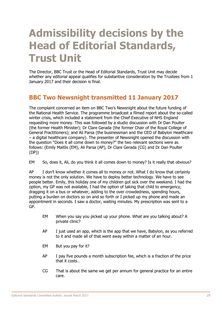# <span id="page-29-0"></span>**Admissibility decisions by the Head of Editorial Standards, Trust Unit**

The Director, BBC Trust or the Head of Editorial Standards, Trust Unit may decide whether any editorial appeal qualifies for substantive consideration by the Trustees from 1 January 2017 and their decision is final.

# <span id="page-29-1"></span>**BBC Two Newsnight transmitted 11 January 2017**

The complaint concerned an item on BBC Two's Newsnight about the future funding of the National Health Service. The programme broadcast a filmed report about the so-called winter crisis, which included a statement from the Chief Executive of NHS England requesting more money. This was followed by a studio discussion with Dr Dan Poulter (the former Health Minister); Dr Clare Gerada (the former Chair of the Royal College of General Practitioners); and Ali Parsa (the businessman and the CEO of Babylon Healthcare – a digital healthcare company). The presenter of Newsnight opened the discussion with the question "Does it all come down to money?" the two relevant sections were as follows: (Emily Maitlis (EM), Ali Parsa (AP), Dr Clare Gerada (CG) and Dr Dan Poulter (DP))

EM So, does it, Ali, do you think it all comes down to money? Is it really that obvious?

AP I don't know whether it comes all to money or not. What I do know that certainly money is not the only solution. We have to deploy better technology. We have to see people better. Emily, this holiday one of my children got sick over the weekend. I had the option, my GP was not available, I had the option of taking that child to emergency, dragging it on a bus or whatever, adding to the over crowdedness, spending hours, putting a burden on doctors so on and so forth or I picked up my phone and made an appointment in seconds. I saw a doctor, waiting minutes. My prescription was sent to a GP.

- EM When you say you picked up your phone. What are you talking about? A private clinic?
- AP I just used an app, which is the app that we have, Babylon, as you referred to it and made all of that went away within a matter of an hour.
- EM But you pay for it?
- AP I pay five pounds a month subscription fee, which is a fraction of the price that it costs…
- CG That is about the same we get per annum for general practice for an entire care.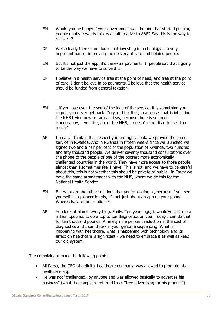- EM Would you be happy if your government was the one that started pushing people gently towards this as an alternative to A&E? Say this is the way to relieve…?
- DP Well, clearly there is no doubt that investing in technology is a very important part of improving the delivery of care and helping people.
- EM But it's not just the app, it's the extra payments. If people say that's going to be the way we have to solve this.
- DP I believe in a health service free at the point of need, and free at the point of care. I don't believe in co-payments, I believe that the health service should be funded from general taxation.

\_\_\_\_\_\_\_\_\_\_\_\_\_\_\_\_\_\_\_\_\_\_\_\_\_\_\_\_\_\_\_\_\_\_\_\_\_\_\_\_\_\_\_\_\_\_\_\_\_\_\_\_\_\_\_\_\_\_

- EM …if you lose even the sort of the idea of the service, it is something you regret, you never get back. Do you think that, in a sense, that is inhibiting the NHS trying new or radical ideas, because there is so much iconography, if you like, about the NHS, it doesn't dare disturb itself too much?
- AP I mean, I think in that respect you are right. Look, we provide the same service in Rwanda. And in Rwanda in fifteen weeks since we launched we signed two and a half per cent of the population of Rwanda, two hundred and fifty thousand people. We deliver seventy thousand consultations over the phone to the people of one of the poorest more economically challenged countries in the world. They have more access to those people almost than I sometimes feel I have. This is not, and we have to be careful about this, this is not whether this should be private or public…In Essex we have the same arrangement with the NHS, where we do this for the National Health Service.
- EM But what are the other solutions that you're looking at, because if you see yourself as a pioneer in this, it's not just about an app on your phone. Where else are the solutions?
- AP You look at almost everything, Emily. Ten years ago, it would've cost me a million…pounds to do a top to toe diagnostics on you. Today I can do that for ten thousand pounds. A ninety nine per cent reduction in the cost of diagnostics and I can throw in your genome sequencing. What is happening with healthcare, what is happening with technology and its effect on healthcare is significant - we need to embrace it as well as keep our old system.

The complainant made the following points:

- Ali Parsa, the CEO of a digital healthcare company, was allowed to promote his healthcare app.
- He was not "challenged…by anyone and was allowed basically to advertise his business" (what the complaint referred to as "free advertising for his product")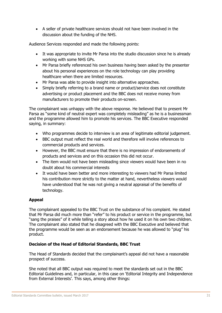A seller of private healthcare services should not have been involved in the discussion about the funding of the NHS.

Audience Services responded and made the following points:

- It was appropriate to invite Mr Parsa into the studio discussion since he is already working with some NHS GPs.
- Mr Parsa briefly referenced his own business having been asked by the presenter about his personal experiences on the role technology can play providing healthcare when there are limited resources.
- Mr Parsa was able to provide insight into alternative approaches.
- Simply briefly referring to a brand name or product/service does not constitute advertising or product placement and the BBC does not receive money from manufacturers to promote their products on-screen.

The complainant was unhappy with the above response. He believed that to present Mr Parsa as "some kind of neutral expert was completely misleading" as he is a businessman and the programme allowed him to promote his services. The BBC Executive responded saying, in summary:

- Who programmes decide to interview is an area of legitimate editorial judgement.
- BBC output must reflect the real world and therefore will involve references to commercial products and services.
- However, the BBC must ensure that there is no impression of endorsements of products and services and on this occasion this did not occur.
- The item would not have been misleading since viewers would have been in no doubt about his commercial interests
- It would have been better and more interesting to viewers had Mr Parsa limited his contribution more strictly to the matter at hand, nevertheless viewers would have understood that he was not giving a neutral appraisal of the benefits of technology.

#### **Appeal**

The complainant appealed to the BBC Trust on the substance of his complaint. He stated that Mr Parsa did much more than "refer" to his product or service in the programme, but "sang the praises" of it while telling a story about how he used it on his own two children. The complainant also stated that he disagreed with the BBC Executive and believed that the programme would be seen as an endorsement because he was allowed to "plug" his product.

#### **Decision of the Head of Editorial Standards, BBC Trust**

The Head of Standards decided that the complainant's appeal did not have a reasonable prospect of success.

She noted that all BBC output was required to meet the standards set out in the BBC Editorial Guidelines and, in particular, in this case on 'Editorial Integrity and Independence from External Interests'. This says, among other things: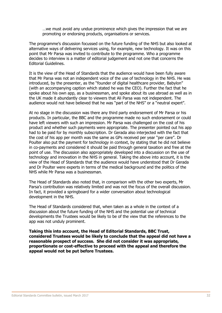…we must avoid any undue prominence which gives the impression that we are promoting or endorsing products, organisations or services.

The programme's discussion focussed on the future funding of the NHS but also looked at alternative ways of delivering services using, for example, new technology. It was on this point that Mr Parsa was invited to contribute to the programme. Who a programme decides to interview is a matter of editorial judgement and not one that concerns the Editorial Guidelines.

It is the view of the Head of Standards that the audience would have been fully aware that Mr Parsa was not an independent voice of the use of technology in the NHS. He was introduced, by the presenter, as the "founder of digital healthcare provider, Babylon" (with an accompanying caption which stated he was the CEO). Further the fact that he spoke about his own app, as a businessman, and spoke about its use abroad as well as in the UK made it abundantly clear to viewers that Ali Parsa was not independent. The audience would not have believed that he was "part of the NHS" or a "neutral expert".

At no stage in the discussion was there any third party endorsement of Mr Parsa or his products. In particular, the BBC and the programme made no such endorsement or could have left viewers with such an impression. Mr Parsa was challenged on the cost of his product and whether such payments were appropriate. The presenter pointed out his app had to be paid for by monthly subscription. Dr Gerada also interjected with the fact that the cost of his app per month was the same as GPs received per year "per care". Dr Poulter also put the payment for technology in context, by stating that he did not believe in co-payments and considered it should be paid through general taxation and free at the point of use. The discussion also appropriately developed into a discussion on the use of technology and innovation in the NHS in general. Taking the above into account, it is the view of the Head of Standards that the audience would have understood that Dr Gerada and Dr Poulter were experts in terms of the medical background and the politics of the NHS while Mr Parsa was a businessman.

The Head of Standards also noted that, in comparison with the other two experts, Mr Parsa's contribution was relatively limited and was not the focus of the overall discussion. In fact, it provided a springboard for a wider conversation about technological development in the NHS.

The Head of Standards considered that, when taken as a whole in the context of a discussion about the future funding of the NHS and the potential use of technical developments the Trustees would be likely to be of the view that the references to the app was not unduly prominent.

**Taking this into account, the Head of Editorial Standards, BBC Trust, considered Trustees would be likely to conclude that the appeal did not have a reasonable prospect of success. She did not consider it was appropriate, proportionate or cost-effective to proceed with the appeal and therefore the appeal would not be put before Trustees.**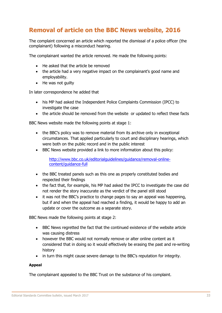# <span id="page-33-0"></span>**Removal of article on the BBC News website, 2016**

The complaint concerned an article which reported the dismissal of a police officer (the complainant) following a misconduct hearing.

The complainant wanted the article removed. He made the following points:

- He asked that the article be removed
- the article had a very negative impact on the complainant's good name and employability.
- He was not guilty

In later correspondence he added that

- his MP had asked the Independent Police Complaints Commission (IPCC) to investigate the case
- the article should be removed from the website or updated to reflect these facts

BBC News website made the following points at stage 1:

- the BBC's policy was to remove material from its archive only in exceptional circumstances. That applied particularly to court and disciplinary hearings, which were both on the public record and in the public interest
- BBC News website provided a link to more information about this policy:

[http://www.bbc.co.uk/editorialguidelines/guidance/removal-online](http://www.bbc.co.uk/editorialguidelines/guidance/removal-online-content/guidance-full)[content/guidance-full](http://www.bbc.co.uk/editorialguidelines/guidance/removal-online-content/guidance-full)

- the BBC treated panels such as this one as properly constituted bodies and respected their findings
- the fact that, for example, his MP had asked the IPCC to investigate the case did not render the story inaccurate as the verdict of the panel still stood
- it was not the BBC's practice to change pages to say an appeal was happening, but if and when the appeal had reached a finding, it would be happy to add an update or cover the outcome as a separate story.

BBC News made the following points at stage 2:

- BBC News regretted the fact that the continued existence of the website article was causing distress
- however the BBC would not normally remove or alter online content as it considered that in doing so it would effectively be erasing the past and re-writing history
- in turn this might cause severe damage to the BBC's reputation for integrity.

#### **Appeal**

The complainant appealed to the BBC Trust on the substance of his complaint.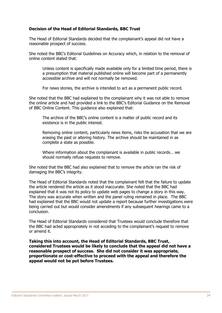#### **Decision of the Head of Editorial Standards, BBC Trust**

The Head of Editorial Standards decided that the complainant's appeal did not have a reasonable prospect of success.

She noted the BBC's Editorial Guidelines on Accuracy which, in relation to the removal of online content stated that:

Unless content is specifically made available only for a limited time period, there is a presumption that material published online will become part of a permanently accessible archive and will not normally be removed.

For news stories, the archive is intended to act as a permanent public record.

She noted that the BBC had explained to the complainant why it was not able to remove the online article and had provided a link to the BBC's Editorial Guidance on the Removal of BBC Online Content. This guidance also explained that:

The archive of the BBC's online content is a matter of public record and its existence is in the public interest.

Removing online content, particularly news items, risks the accusation that we are erasing the past or altering history. The archive should be maintained in as complete a state as possible.

Where information about the complainant is available in public records… we should normally refuse requests to remove.

She noted that the BBC had also explained that to remove the article ran the risk of damaging the BBC's integrity.

The Head of Editorial Standards noted that the complainant felt that the failure to update the article rendered the article as it stood inaccurate. She noted that the BBC had explained that it was not its policy to update web pages to change a story in this way. The story was accurate when written and the panel ruling remained in place. The BBC had explained that the BBC would not update a report because further investigations were being carried out but would consider amendments if any subsequent hearings came to a conclusion.

The Head of Editorial Standards considered that Trustees would conclude therefore that the BBC had acted appropriately in not acceding to the complainant's request to remove or amend it.

**Taking this into account, the Head of Editorial Standards, BBC Trust, considered Trustees would be likely to conclude that the appeal did not have a reasonable prospect of success. She did not consider it was appropriate, proportionate or cost-effective to proceed with the appeal and therefore the appeal would not be put before Trustees.**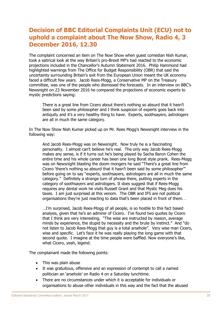### <span id="page-35-0"></span>**Decision of BBC Editorial Complaints Unit (ECU) not to uphold a complaint about The Now Show, Radio 4, 3 December 2016, 12.30**

The complaint concerned an item on The Now Show when guest comedian Nish Kumar, took a satirical look at the way Britain's pro-Brexit MP's had reacted to the economic projections included in the Chancellor's Autumn Statement 2016. Philip Hammond had highlighted warnings from The Office for Budget Responsibility (OBR) that said the uncertainty surrounding Britain's exit from the European Union meant the UK economy faced a difficult few years. Jacob Rees-Mogg, a Conservative MP on the Treasury committee, was one of the people who dismissed the forecasts. In an interview on BBC's Newsnight on 23 November 2016 he compared the projections of economic experts to mystic predictions saying:

There is a great line from Cicero about there's nothing so absurd that it hasn't been said by some philosopher and I think suspicion of experts goes back into antiquity and it's a very healthy thing to have. Experts, soothsayers, astrologers are all in much the same category.

In The Now Show Nish Kumar picked up on Mr. Rees Mogg's Newsnight interview in the following way:

And Jacob Rees-Mogg was on Newsnight. Now truly he is a fascinating personality. I almost can't believe he's real. The only way Jacob Rees-Mogg makes any sense, is if it turns out he's being played by Sacha Baron Cohen the entire time and his whole career has been one long Borat style prank. Rees-Mogg was on Newsnight blasting the doom mongers he said "There's a great line from Cicero 'there's nothing so absurd that it hasn't been said by some philosopher'" before going on to say "experts, soothsayers, astrologers are all in much the same category." Definitely a strange turn of phrase there, putting experts in the category of soothsayers and astrologers. It does suggest that if Rees-Mogg requires any dental work he visits Russell Grant and that Mystic Meg does his taxes. I am just surprised at this venom. The OBR and IFS are not political organisations they're just reacting to data that's been placed in front of them. .

…I'm surprised, Jacob Rees-Mogg of all people, is so hostile to this fact based analysis, given that he's an admirer of Cicero. I've found two quotes by Cicero that I think are very interesting. "The wise are instructed by reason, average minds by experience, the stupid by necessity and the brute by instinct." And "do not listen to Jacob Rees-Mogg that guy is a total arsehole". Very wise man Cicero, wise and specific. Let's face it he was really playing the long game with that second quote. I imagine at the time people were baffled. Now everyone's like, what Cicero, yeah, legend.

The complainant made the following points:

- This was plain abuse
- It was gratuitous, offensive and an expression of contempt to call a named politician an 'arsehole' on Radio 4 on a Saturday lunchtime.
- There are no circumstances under which it is acceptable for individuals or organisations to abuse other individuals in this way and the fact that the abused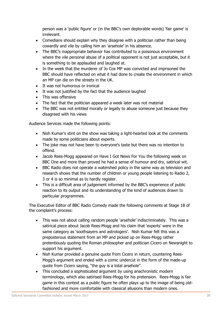person was a 'public figure' or (in the BBC's own deplorable words) 'fair game' is irrelevant.

- Comedians should explain why they disagree with a politician rather than being cowardly and vile by calling him an 'arsehole' in his absence.
- The BBC's inappropriate behavior has contributed to a poisonous environment where the vile personal abuse of a political opponent is not just acceptable, but it is something to be applauded and laughed at.
- In the week that the murderer of Jo Cox MP was convicted and imprisoned the BBC should have reflected on what it had done to create the environment in which an MP can die on the streets in the UK.
- It was not humorous or ironical
- It was not justified by the fact that the audience laughed
- This was offensive
- The fact that the politician appeared a week later was not material
- The BBC was not entitled morally or legally to abuse someone just because they disagreed with his views

Audience Services made the following points:

- Nish Kumar's stint on the show was taking a light-hearted look at the comments made by some politicians about experts.
- The joke may not have been to everyone's taste but there was no intention to offend.
- Jacob Rees-Mogg appeared on Have I Got News For You the following week on BBC One and more than proved he had a sense of humour and dry, satirical wit.
- BBC Radio does not operate a watershed policy in the same way as television and research shows that the number of children or young people listening to Radio 2, 3 or 4 is so minimal as to hardly register.
- This is a difficult area of judgement informed by the BBC's experience of public reaction to its output and its understanding of the kind of audiences drawn to particular programmes.

The Executive Editor of BBC Radio Comedy made the following comments at Stage 1B of the complaint's process:

- This was not about calling random people 'arsehole' indiscriminately. This was a satirical piece about Jacob Rees-Mogg and his claim that 'experts' were in the same category as 'soothsayers and astrologers'. Nish Kumar felt this was a preposterous statement from an MP and picked up on Rees-Mogg rather pretentiously quoting the Roman philosopher and politician Cicero on Newsnight to support his argument.
- Nish Kumar provided a genuine quote from Cicero in return, countering Rees-Mogg's argument and ended with a comic undercut in the form of the made-up quote from Cicero saying, "the guy is a total arsehole".
- This concluded a sophisticated argument by using anachronistic modern terminology, which also satirised Rees-Mogg for his pretension. Rees-Mogg is fair game in this context as a public figure he often plays up to the image of being oldfashioned and more comfortable with classical allusions than modern ones.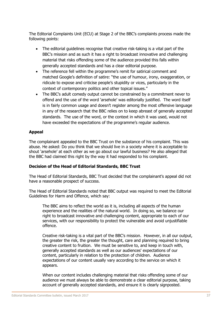The Editorial Complaints Unit (ECU) at Stage 2 of the BBC's complaints process made the following points:

- The editorial guidelines recognise that creative risk-taking is a vital part of the BBC's mission and as such it has a right to broadcast innovative and challenging material that risks offending some of the audience provided this falls within generally accepted standards and has a clear editorial purpose.
- The reference fell within the programme's remit for satirical comment and matched Google's definition of satire: "the use of humour, irony, exaggeration, or ridicule to expose and criticise people's stupidity or vices, particularly in the context of contemporary politics and other topical issues."
- The BBC's adult comedy output cannot be constrained by a commitment never to offend and the use of the word 'arsehole' was editorially justified. The word itself is in fairly common usage and doesn't register among the most offensive language in any of the research that the BBC relies on to keep abreast of generally accepted standards. The use of the word, or the context in which it was used, would not have exceeded the expectations of the programme's regular audience.

#### **Appeal**

The complainant appealed to the BBC Trust on the substance of his complaint. This was abuse. He asked: Do you think that we should live in a society where it is acceptable to shout 'arsehole' at each other as we go about our lawful business? He also alleged that the BBC had claimed this right by the way it had responded to his complaint.

#### **Decision of the Head of Editorial Standards, BBC Trust**

The Head of Editorial Standards, BBC Trust decided that the complainant's appeal did not have a reasonable prospect of success.

The Head of Editorial Standards noted that BBC output was required to meet the Editorial Guidelines for Harm and Offence, which say:

The BBC aims to reflect the world as it is, including all aspects of the human experience and the realities of the natural world. In doing so, we balance our right to broadcast innovative and challenging content, appropriate to each of our services, with our responsibility to protect the vulnerable and avoid unjustifiable offence.

Creative risk-taking is a vital part of the BBC's mission. However, in all our output, the greater the risk, the greater the thought, care and planning required to bring creative content to fruition. We must be sensitive to, and keep in touch with, generally accepted standards as well as our audiences' expectations of our content, particularly in relation to the protection of children. Audience expectations of our content usually vary according to the service on which it appears.

When our content includes challenging material that risks offending some of our audience we must always be able to demonstrate a clear editorial purpose, taking account of generally accepted standards, and ensure it is clearly signposted.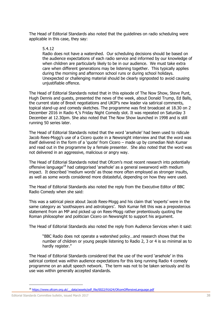The Head of Editorial Standards also noted that the guidelines on radio scheduling were applicable in this case, they say:

#### 5.4.12

Radio does not have a watershed. Our scheduling decisions should be based on the audience expectations of each radio service and informed by our knowledge of when children are particularly likely to be in our audience. We must take extra care when different generations may be listening together. This typically applies during the morning and afternoon school runs or during school holidays. Unexpected or challenging material should be clearly signposted to avoid causing unjustifiable offence.

The Head of Editorial Standards noted that in this episode of The Now Show, Steve Punt, Hugh Dennis and guests, presented the news of the week, about Donald Trump, Ed Balls, the current state of Brexit negotiations and UKIP's new leader via satirical comments, topical stand-up and comedy sketches. The programme was first broadcast at 18.30 on 2 December 2016 in Radio 4,'s Friday Night Comedy slot. It was repeated on Saturday 3 December at 12.30pm. She also noted that The Now Show launched in 1998 and is still running 50 series later.

The Head of Editorial Standards noted that the word 'arsehole' had been used to ridicule Jacob Rees-Mogg's use of a Cicero quote in a Newsnight interview and that the word was itself delivered in the form of a 'quote' from Cicero – made up by comedian Nish Kumar and read out in the programme by a female presenter. She also noted that the word was not delivered in an aggressive, malicious or angry way.

The Head of Editorial Standards noted that Ofcom's most recent research into potentially offensive language<sup>18</sup> had categorised 'arsehole' as a general swearword with medium impact. It described 'medium words' as those more often employed as stronger insults, as well as some words considered more distasteful, depending on how they were used.

The Head of Editorial Standards also noted the reply from the Executive Editor of BBC Radio Comedy when she said:

This was a satirical piece about Jacob Rees-Mogg and his claim that 'experts' were in the same category as 'soothsayers and astrologers'. Nish Kumar felt this was a preposterous statement from an MP and picked up on Rees-Mogg rather pretentiously quoting the Roman philosopher and politician Cicero on Newsnight to support his argument.

The Head of Editorial Standards also noted the reply from Audience Services when it said:

"BBC Radio does not operate a watershed policy…and research shows that the number of children or young people listening to Radio 2, 3 or 4 is so minimal as to hardly register."

The Head of Editorial Standards considered that the use of the word 'arsehole' in this satirical context was within audience expectations for this long running Radio 4 comedy programme on an adult speech network. The term was not to be taken seriously and its use was within generally accepted standards.

<sup>&</sup>lt;sup>18</sup> https://www.ofcom.org.uk/ data/assets/pdf\_file/0022/91624/OfcomOffensiveLanguage.pdf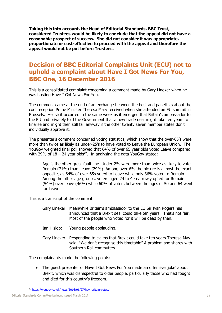**Taking this into account, the Head of Editorial Standards, BBC Trust, considered Trustees would be likely to conclude that the appeal did not have a reasonable prospect of success. She did not consider it was appropriate, proportionate or cost-effective to proceed with the appeal and therefore the appeal would not be put before Trustees.**

### <span id="page-39-0"></span>**Decision of BBC Editorial Complaints Unit (ECU) not to uphold a complaint about Have I Got News For You, BBC One, 16 December 2016**

This is a consolidated complaint concerning a comment made by Gary Lineker when he was hosting Have I Got News For You.

The comment came at the end of an exchange between the host and panellists about the cool reception Prime Minister Theresa Mary received when she attended an EU summit in Brussels. Her visit occurred in the same week as it emerged that Britain's ambassador to the EU had privately told the Government that a new trade deal might take ten years to finalise and might then still fail anyway if the other twenty seven member states don't individually approve it.

The presenter's comment concerned voting statistics, which show that the over-65's were more than twice as likely as under-25's to have voted to Leave the European Union. The YouGov weighted final poll showed that 64% of over 65 year olds voted Leave compared with 29% of  $18 - 24$  year olds<sup>19</sup>. In analysing the data YouGov stated:

Age is the other great fault line. Under-25s were more than twice as likely to vote Remain (71%) than Leave (29%). Among over-65s the picture is almost the exact opposite, as 64% of over-65s voted to Leave while only 36% voted to Remain. Among the other age groups, voters aged 24 to 49 narrowly opted for Remain (54%) over leave (46%) while 60% of voters between the ages of 50 and 64 went for Leave.

This is a transcript of the comment:

| Gary Lineker: Meanwhile Britain's ambassador to the EU Sir Ivan Rogers has |  |
|----------------------------------------------------------------------------|--|
| announced that a Brexit deal could take ten years. That's not fair.        |  |
| Most of the people who voted for it will be dead by then.                  |  |

- Ian Hislop: Young people applauding.
- Gary Lineker: Responding to claims that Brexit could take ten years Theresa May said, "We don't recognise this timetable" A problem she shares with Southern Rail commuters.

The complainants made the following points:

• The guest presenter of Have I Got News For You made an offensive 'joke' about Brexit, which was disrespectful to older people, particularly those who had fought and died for this country's freedom.

<sup>19</sup> <https://yougov.co.uk/news/2016/06/27/how-britain-voted/>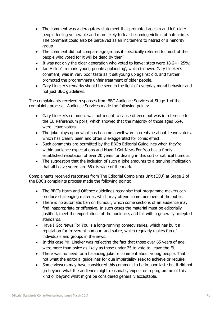- The comment was a derogatory statement that promoted ageism and left older people feeling vulnerable and more likely to fear becoming victims of hate crime. The comment could also be perceived as an incitement to hatred of a minority group.
- The comment did not compare age groups it specifically referred to 'most of the people who voted for it will be dead by then'.
- It was not only the older generation who voted to leave: stats were 18-24 25%;
- Ian Hislop's remark 'young people applauding', which followed Gary Lineker's comment, was in very poor taste as it set young up against old, and further promoted the programme's unfair treatment of older people.
- Gary Lineker's remarks should be seen in the light of everyday moral behavior and not just BBC guidelines.

The complainants received responses from BBC Audience Services at Stage 1 of the complaints process. Audience Services made the following points:

- Gary Lineker's comment was not meant to cause offence but was in reference to the EU Referendum polls, which showed that the majority of those aged 65+, were Leave voters.
- The joke plays upon what has become a well-worn stereotype about Leave voters, which has clearly been and often is exaggerated for comic effect.
- Such comments are permitted by the BBC's Editorial Guidelines when they're within audience expectations and Have I Got News For You has a firmly established reputation of over 20 years for dealing in this sort of satirical humour.
- The suggestion that the inclusion of such a joke amounts to a genuine implication that all Leave voters are 65+ is wide of the mark.

Complainants received responses from The Editorial Complaints Unit (ECU) at Stage 2 of the BBC's complaints process made the following points:

- The BBC's Harm and Offence guidelines recognise that programme-makers can produce challenging material, which may offend some members of the public.
- There is no automatic ban on humour, which some sections of an audience may find inappropriate or offensive. In such cases the material must be editorially justified, meet the expectations of the audience, and fall within generally accepted standards.
- Have I Got News For You is a long-running comedy series, which has built a reputation for irreverent humour, and satire, which regularly makes fun of individuals and groups in the news.
- In this case Mr. Lineker was reflecting the fact that those over 65 years of age were more than twice as likely as those under 25 to vote to Leave the EU.
- There was no need for a balancing joke or comment about young people. That is not what the editorial guidelines for due impartiality seek to achieve or require.
- Some viewers may have considered this comment to be in poor taste but it did not go beyond what the audience might reasonably expect on a programme of this kind or beyond what might be considered generally acceptable.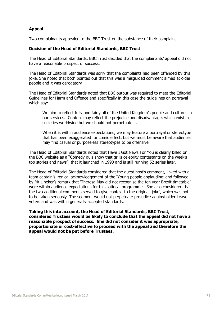#### **Appeal**

Two complainants appealed to the BBC Trust on the substance of their complaint.

#### **Decision of the Head of Editorial Standards, BBC Trust**

The Head of Editorial Standards, BBC Trust decided that the complainants' appeal did not have a reasonable prospect of success.

The Head of Editorial Standards was sorry that the complaints had been offended by this joke. She noted that both pointed out that this was a misguided comment aimed at older people and it was derogatory

The Head of Editorial Standards noted that BBC output was required to meet the Editorial Guidelines for Harm and Offence and specifically in this case the guidelines on portrayal which say:

We aim to reflect fully and fairly all of the United Kingdom's people and cultures in our services. Content may reflect the prejudice and disadvantage, which exist in societies worldwide but we should not perpetuate it...

When it is within audience expectations, we may feature a portrayal or stereotype that has been exaggerated for comic effect, but we must be aware that audiences may find casual or purposeless stereotypes to be offensive.

The Head of Editorial Standards noted that Have I Got News For You is clearly billed on the BBC website as a "Comedy quiz show that grills celebrity contestants on the week's top stories and news", that it launched in 1990 and is still running 52 series later.

The Head of Editorial Standards considered that the guest host's comment, linked with a team captain's ironical acknowledgement of the 'Young people applauding' and followed by Mr Lineker's remark that 'Theresa May did not recognise the ten year Brexit timetable' were within audience expectations for this satirical programme. She also considered that the two additional comments served to give context to the original 'joke', which was not to be taken seriously. The segment would not perpetuate prejudice against older Leave voters and was within generally accepted standards.

**Taking this into account, the Head of Editorial Standards, BBC Trust, considered Trustees would be likely to conclude that the appeal did not have a reasonable prospect of success. She did not consider it was appropriate, proportionate or cost-effective to proceed with the appeal and therefore the appeal would not be put before Trustees.**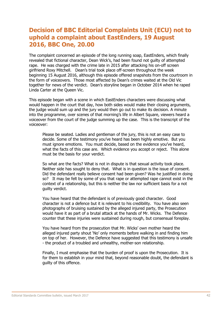### <span id="page-42-0"></span>**Decision of BBC Editorial Complaints Unit (ECU) not to uphold a complaint about EastEnders, 19 August 2016, BBC One, 20.00**

The complaint concerned an episode of the long running soap, EastEnders, which finally revealed that fictional character, Dean Wick's, had been found not guilty of attempted rape. He was charged with the crime late in 2015 after attacking his on-off screen girlfriend Roxy Mitchell. Dean's trial took place off-screen throughout the week beginning 15 August 2016, although this episode offered snapshots from the courtroom in the form of voiceovers. Those most affected by Dean's crimes waited at the Old Vic together for news of the verdict. Dean's storyline began in October 2014 when he raped Linda Carter at the Queen Vic.

This episode began with a scene in which EastEnders characters were discussing what would happen in the court that day, how both sides would make their closing arguments, the judge would sum up and the jury would then go out to make its decision. A minute into the programme, over scenes of that morning's life in Albert Square, viewers heard a voiceover from the court of the judge summing up the case. This is the transcript of the voiceover:

Please be seated. Ladies and gentleman of the jury, this is not an easy case to decide. Some of the testimony you've heard has been highly emotive. But you must ignore emotions. You must decide, based on the evidence you've heard, what the facts of this case are. Which evidence you accept or reject. This alone must be the basis for your verdict.

So what are the facts? What is not in dispute is that sexual activity took place. Neither side has sought to deny that. What is in question is the issue of consent. Did the defendant really believe consent had been given? Was he justified in doing so? It may be felt by some of you that rape or attempted rape cannot exist in the context of a relationship, but this is neither the law nor sufficient basis for a not guilty verdict.

You have heard that the defendant is of previously good character. Good character is not a defence but it is relevant to his credibility. You have also seen photographs of bruising sustained by the alleged injured party, the Prosecution would have it as part of a brutal attack at the hands of Mr. Wicks. The Defence counter that these injuries were sustained during rough, but consensual foreplay.

You have heard from the prosecution that Mr. Wicks' own mother heard the alleged injured party shout 'No' only moments before walking in and finding him on top of her. However, the Defence have suggested that this testimony is unsafe - the product of a troubled and unhealthy, mother-son relationship.

Finally, I must emphasise that the burden of proof is upon the Prosecution. It is for them to establish in your mind that, beyond reasonable doubt, the defendant is guilty of this offence.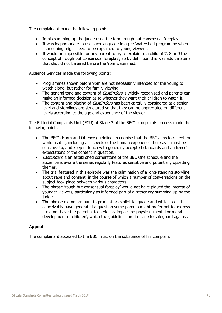The complainant made the following points:

- In his summing up the judge used the term 'rough but consensual foreplay'.
- It was inappropriate to use such language in a pre-Watershed programme when its meaning might need to be explained to young viewers.
- It would be impossible for any parent to try to explain to a child of 7, 8 or 9 the concept of 'rough but consensual foreplay', so by definition this was adult material that should not be aired before the 9pm watershed.

Audience Services made the following points:

- Programmes shown before 9pm are not necessarily intended for the young to watch alone, but rather for family viewing.
- The general tone and content of *EastEnders* is widely recognised and parents can make an informed decision as to whether they want their children to watch it.
- The content and placing of *EastEnders* has been carefully considered at a senior level and storylines are structured so that they can be appreciated on different levels according to the age and experience of the viewer.

The Editorial Complaints Unit (ECU) at Stage 2 of the BBC's complaints process made the following points:

- The BBC's Harm and Offence guidelines recognise that the BBC aims to reflect the world as it is, including all aspects of the human experience, but say it must be sensitive to, and keep in touch with generally accepted standards and audience' expectations of the content in question.
- *EastEnders* is an established cornerstone of the BBC One schedule and the audience is aware the series regularly features sensitive and potentially upsetting themes.
- The trial featured in this episode was the culmination of a long-standing storyline about rape and consent, in the course of which a number of conversations on the subject took place between various characters.
- The phrase 'rough but consensual foreplay' would not have piqued the interest of younger viewers, particularly as it formed part of a rather dry summing up by the judge.
- The phrase did not amount to prurient or explicit language and while it could conceivably have generated a question some parents might prefer not to address it did not have the potential to 'seriously impair the physical, mental or moral development of children', which the guidelines are in place to safeguard against.

#### **Appeal**

The complainant appealed to the BBC Trust on the substance of his complaint.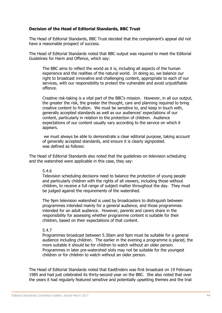#### **Decision of the Head of Editorial Standards, BBC Trust**

The Head of Editorial Standards, BBC Trust decided that the complainant's appeal did not have a reasonable prospect of success.

The Head of Editorial Standards noted that BBC output was required to meet the Editorial Guidelines for Harm and Offence, which say:

The BBC aims to reflect the world as it is, including all aspects of the human experience and the realities of the natural world. In doing so, we balance our right to broadcast innovative and challenging content, appropriate to each of our services, with our responsibility to protect the vulnerable and avoid unjustifiable offence.

Creative risk-taking is a vital part of the BBC's mission. However, in all our output, the greater the risk, the greater the thought, care and planning required to bring creative content to fruition. We must be sensitive to, and keep in touch with, generally accepted standards as well as our audiences' expectations of our content, particularly in relation to the protection of children. Audience expectations of our content usually vary according to the service on which it appears.

we must always be able to demonstrate a clear editorial purpose, taking account of generally accepted standards, and ensure it is clearly signposted. was defined as follows:

The Head of Editorial Standards also noted that the guidelines on television scheduling and the watershed were applicable in this case, they say:

#### 5.4.6

Television scheduling decisions need to balance the protection of young people and particularly children with the rights of all viewers, including those without children, to receive a full range of subject matter throughout the day. They must be judged against the requirements of the watershed.

The 9pm television watershed is used by broadcasters to distinguish between programmes intended mainly for a general audience, and those programmes intended for an adult audience. However, parents and carers share in the responsibility for assessing whether programme content is suitable for their children, based on their expectations of that content.

#### 5.4.7

Programmes broadcast between 5.30am and 9pm must be suitable for a general audience including children. The earlier in the evening a programme is placed, the more suitable it should be for children to watch without an older person. Programmes in later pre-watershed slots may not be suitable for the youngest children or for children to watch without an older person.

The Head of Editorial Standards noted that EastEnders was first broadcast on 19 February 1985 and had just celebrated its thirty-second year on the BBC. She also noted that over the years it had regularly featured sensitive and potentially upsetting themes and the trial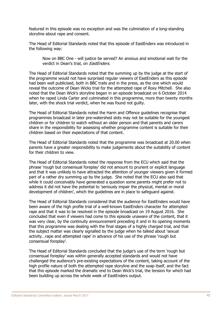featured in this episode was no exception and was the culmination of a long-standing storyline about rape and consent.

The Head of Editorial Standards noted that this episode of EastEnders was introduced in the following way:

Now on BBC One - will justice be served? An anxious and emotional wait for the verdict in Dean's trial, on *EastEnders*.

The Head of Editorial Standards noted that the summing up by the judge at the start of the programme would not have surprised regular viewers of EastEnders as this episode had been well publicised, both in BBC trails and in the press, as the one which would reveal the outcome of Dean Wicks trial for the attempted rape of Roxy Mitchell. She also noted that the Dean Wick's storyline began in an episode broadcast on 6 October 2014 when he raped Linda Carter and culminated in this programme, more than twenty months later, with the shock trial verdict, when he was found not guilty.

The Head of Editorial Standards noted the Harm and Offence guidelines recognise that programmes broadcast in later pre-watershed slots may not be suitable for the youngest children or for children to watch without an older person and that parents and carers share in the responsibility for assessing whether programme content is suitable for their children based on their expectations of that content.

The Head of Editorial Standards noted that the programme was broadcast at 20.00 when parents have a greater responsibility to make judgements about the suitability of content for their children to view.

The Head of Editorial Standards noted the response from the ECU which said that the phrase 'rough but consensual foreplay' did not amount to prurient or explicit language and that it was unlikely to have attracted the attention of younger viewers given it formed part of a rather dry summing up by the judge. She noted that the ECU also said that while it could conceivably have generated a question some parents might prefer not to address it did not have the potential to 'seriously impair the physical, mental or moral development of children', which the guidelines are in place to safeguard against.

The Head of Editorial Standards considered that the audience for EastEnders would have been aware of the high profile trial of a well-known EastEnders character for attempted rape and that it was to be resolved in the episode broadcast on 19 August 2016. She concluded that even if viewers had come to this episode unaware of the content, that it was very clear, by the continuity announcement preceding it and in its opening moments that this programme was dealing with the final stages of a highly charged trial, and that the subject matter was clearly signalled by the judge when he talked about 'sexual activity…rape and attempted rape' in advance of his use of the phrase 'rough but consensual foreplay'.

The Head of Editorial Standards concluded that the judge's use of the term 'rough but consensual foreplay' was within generally accepted standards and would not have challenged the audience's pre-existing expectations of the content, taking account of the high profile nature of both the attempted rape storyline and the soap itself, and the fact that this episode marked the dramatic end to Dean Wick's trial, the tension for which had been building up across the whole week of EastEnders output.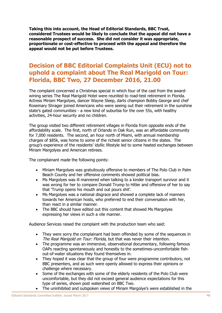**Taking this into account, the Head of Editorial Standards, BBC Trust, considered Trustees would be likely to conclude that the appeal did not have a reasonable prospect of success. She did not consider it was appropriate, proportionate or cost-effective to proceed with the appeal and therefore the appeal would not be put before Trustees.**

# <span id="page-46-0"></span>**Decision of BBC Editorial Complaints Unit (ECU) not to uphold a complaint about The Real Marigold on Tour: Florida, BBC Two, 27 December 2016, 21.00**

The complaint concerned a Christmas special in which four of the cast from the awardwining series The Real Marigold Hotel were reunited to road-test retirement in Florida. Actress Miriam Margolyes, dancer Wayne Sleep, darts champion Bobby George and chef Rosemary Shrager joined Americans who were seeing out their retirement in the sunshine state's gated communities - a new kind of suburbia for the over 55s, with healthy activities, 24-hour security and no children.

The group visited two different retirement villages in Florida from opposite ends of the affordability scale. The first, north of Orlando in Oak Run, was an affordable community for 7,000 residents. The second, an hour north of Miami, with annual membership charges of \$85k, was home to some of the richest senior citizens in the states. The group's experience of the residents' idyllic lifestyle led to some heated exchanges between Miriam Margolyes and American retirees.

The complainant made the following points:

- Miriam Margolyes was gratuitously offensive to members of The Polo Club in Palm Beach County and her offensive comments showed political bias.
- Ms Margolyes was ill mannered when talking to a kinder transport survivor and it was wrong for her to compare Donald Trump to Hitler and offensive of her to say that 'Trump opens his mouth and out pours shit'.
- Ms Margolyes was a national disgrace and showed a complete lack of manners towards her American hosts, who preferred to end their conversation with her, than react in a similar manner.
- The BBC should have edited out this content that showed Ms Margolyes expressing her views in such a vile manner.

Audience Services raised the complaint with the production team who said:

- They were sorry the complainant had been offended by some of the sequences in The Real Marigold on Tour: Florida, but that was never their intention.
- The programme was an immersive, observational documentary, following famous OAPs reacting spontaneously and honestly to the sometimes-uncomfortable fishout-of-water situations they found themselves in.
- They hoped it was clear that the group of four were programme contributors, not BBC presenters, and as such were openly allowed to express their opinions or challenge where necessary.
- Some of the exchanges with some of the elderly residents of the Polo Club were uncomfortable, but they did not exceed general audience expectations for this type of series, shown post watershed on BBC Two.
- The uninhibited and outspoken views of Miriam Margolye's were established in the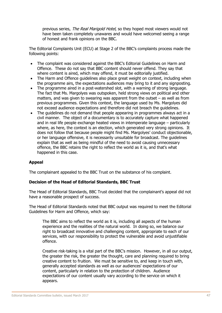previous series, The Real Marigold Hotel, so they hoped most viewers would not have been taken completely unawares and would have welcomed seeing a range of honest and frank opinions on the BBC.

The Editorial Complaints Unit (ECU) at Stage 2 of the BBC's complaints process made the following points:

- The complaint was considered against the BBC's Editorial Guidelines on Harm and Offence. These do not say that BBC content should never offend. They say that where content is aired, which may offend, it must be editorially justified.
- The Harm and Offence quidelines also place great weight on context, including when the programme airs, the expectations audiences may bring to it and any signposting.
- The programme aired in a post-watershed slot, with a warning of strong language. The fact that Ms. Margolyes was outspoken, held strong views on political and other matters, and was given to swearing was apparent from the outset – as well as from previous programmes. Given this context, the language used by Ms. Margolyes did not exceed audience expectations and therefore did not breach the guidelines.
- The guidelines do not demand that people appearing in programmes always act in a civil manner. The object of a documentary is to accurately capture what happened and in real life people exchange heated views in intemperate language – particularly where, as here, the context is an election, which generated very strong opinions. It does not follow that because people might find Ms. Margolyes' conduct objectionable, or her language offensive, it is necessarily unsuitable for broadcast. The guidelines explain that as well as being mindful of the need to avoid causing unnecessary offence, the BBC retains the right to reflect the world as it is, and that's what happened in this case.

#### **Appeal**

The complainant appealed to the BBC Trust on the substance of his complaint.

#### **Decision of the Head of Editorial Standards, BBC Trust**

The Head of Editorial Standards, BBC Trust decided that the complainant's appeal did not have a reasonable prospect of success.

The Head of Editorial Standards noted that BBC output was required to meet the Editorial Guidelines for Harm and Offence, which say:

The BBC aims to reflect the world as it is, including all aspects of the human experience and the realities of the natural world. In doing so, we balance our right to broadcast innovative and challenging content, appropriate to each of our services, with our responsibility to protect the vulnerable and avoid unjustifiable offence.

Creative risk-taking is a vital part of the BBC's mission. However, in all our output, the greater the risk, the greater the thought, care and planning required to bring creative content to fruition. We must be sensitive to, and keep in touch with, generally accepted standards as well as our audiences' expectations of our content, particularly in relation to the protection of children. Audience expectations of our content usually vary according to the service on which it appears.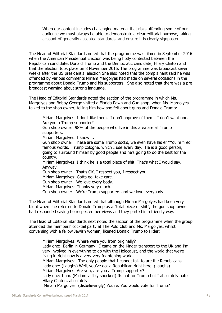When our content includes challenging material that risks offending some of our audience we must always be able to demonstrate a clear editorial purpose, taking account of generally accepted standards, and ensure it is clearly signposted.

The Head of Editorial Standards noted that the programme was filmed in September 2016 when the American Presidential Election was being hotly contested between the Republican candidate, Donald Trump and the Democratic candidate, Hilary Clinton and that the election took place on 8 November 2016. The programme was broadcast seven weeks after the US presidential election She also noted that the complainant said he was offended by various comments Miriam Margolyes had made on several occasions in the programme about Donald Trump and his supporters. She also noted that there was a pre broadcast warning about strong language.

The Head of Editorial Standards noted the section of the programme in which Ms. Margolyes and Bobby George visited a Florida Pawn and Gun shop, when Ms. Margolyes talked to the shop owner, telling him how she felt about guns and Donald Trump:

Miriam Margolyes: I don't like them. I don't approve of them. I don't want one. Are you a Trump supporter?

Gun shop owner: 98% of the people who live in this area are all Trump supporters.

Miriam Margolyes: I know it.

Gun shop owner: These are some Trump socks, we even have his er "You're fired" famous words. Trump cologne, which I use every day. He is a good person, going to surround himself by good people and he's going to do the best for the country.

Miriam Margolyes: I think he is a total piece of shit. That's what I would say. Anyway.

Gun shop owner: That's OK, I respect you, I respect you.

Miriam Margolyes: Gotta go, take care.

Gun shop owner: We love every body.

Miriam Margolyes: Thanks very much.

Gun shop owner: We're Trump supporters and we love everybody.

The Head of Editorial Standards noted that although Miriam Margolyes had been very blunt when she referred to Donald Trump as a "total piece of shit", the gun shop owner had responded saying he respected her views and they parted in a friendly way.

The Head of Editorial Standards next noted the section of the programme when the group attended the members' cocktail party at The Polo Club and Ms. Margolyes, whilst conversing with a fellow Jewish woman, likened Donald Trump to Hitler:

Miriam Margolyes: Where were you from originally? Lady one: Berlin in Germany. I came on the Kinder transport to the UK and I'm very involved in everything to do with the Holocaust, and the world that we're living in right now is a very very frightening world. Miriam Margolyes: The only people that I cannot talk to are the Republicans. Lady one: (Laughs) Well, you've got a Republican right here. (Laughs) Miriam Margolyes: Are you, are you a Trump supporter? Lady one: I am. (Miriam visibly shocked) Its not for Trump but I absolutely hate Hilary Clinton, absolutely.

Miriam Margolyes: (disbelievingly) You're. You would vote for Trump?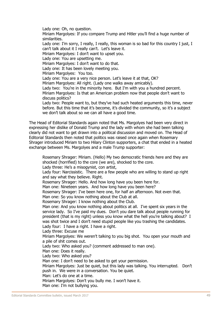Lady one: Oh, no question.

Miriam Margolyes: If you compare Trump and Hitler you'll find a huge number of similarities.

Lady one: I'm sorry, I really, I really, this woman is so bad for this country I just, I can't talk about it I really can't. Let's leave it.

Miriam Margolyes: I don't want to upset you.

Lady one: You are upsetting me.

Miriam Margolyes: I don't want to do that.

Lady one: It has been lovely meeting you.

Miriam Margolyes: You too.

Lady one: You are a very nice person. Let's leave it at that, OK?

Miriam Margolyes: All right. (Lady one walks away amicably).

Lady two: You're in the minority here. But I'm with you a hundred percent. Miriam Margolyes: Is that an American problem now that people don't want to discuss politics?

Lady two: People want to, but they've had such heated arguments this time, never before. But this time that it's become, it's divided the community, so it's a subject we don't talk about so we can all have a good time.

The Head of Editorial Standards again noted that Ms. Margolyes had been very direct in expressing her dislike of Donald Trump and the lady with whom she had been talking clearly did not want to get drawn into a political discussion and moved on. The Head of Editorial Standards then noted that politics was raised once again when Rosemary Shrager introduced Miriam to two Hilary Clinton supporters, a chat that ended in a heated exchange between Ms. Margolyes and a male Trump supporter:

Rosemary Shrager: Miriam. (Hello) My two democratic friends here and they are shocked (horrified) to the core (we are), shocked to the core. Lady three: He's a misogynist, con artist, Lady four: Narcissistic. There are a few people who are willing to stand up right and say what they believe. Right. Rosemary Shrager: Hello. And how long have you been here for. Man one: Nineteen years. And how long have you been here? Rosemary Shrager: I've been here one, for half an afternoon. Not even that. Man one: So you know nothing about the Club at all. Rosemary Shrager: I know nothing about the Club. Man one: And you know nothing about politics at all. I've spent six years in the service lady. So I've paid my dues. Don't you dare talk about people running for president (that is my right) unless you know what the hell you're talking about? I was shot twice and I don't need stupid people like you trashing the candidates. Lady four: I have a right. I have a right. Lady three: Excuse me Miriam Margolyes: We weren't talking to you big shot. You open your mouth and a pile of shit comes out. Lady two: Who asked you? (comment addressed to man one). Man one: Does it really. Lady two: Who asked you? Man one: I don't need to be asked to get your permission. Miriam Margolyes: Just be quiet, but this lady was talking. You interrupted. Don't push in. We were in a conversation. You be quiet. Man: Let's do one at a time. Miriam Margolyes: Don't you bully me. I won't have it. Man one: I'm not bullying you.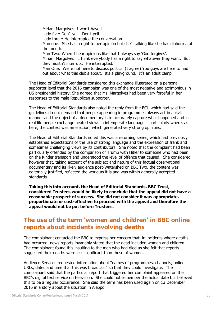Miriam Margolyes: I won't have it. Lady five: Don't yell. Don't yell. Lady three: He interrupted the conversation. Man one: She has a right to her opinion but she's talking like she has diahorrea of the mouth. Man Two: When I hear opinions like that I always say 'God forgives'. Miriam Margolyes: I think everybody has a right to say whatever they want. But they mustn't interrupt. He interrupted. Man One: We're not here to discuss politics. (I agree) You guys are here to find out about what this club's about. It's a playground. It's an adult camp.

The Head of Editorial Standards considered this exchange illustrated on a personal, supporter level that the 2016 campaign was one of the most negative and acrimonious in US presidential history. She agreed that Ms. Margolyes had been very forceful in her responses to the male Republican supporter.

The Head of Editorial Standards also noted the reply from the ECU which had said the guidelines do not demand that people appearing in programmes always act in a civil manner and the object of a documentary is to accurately capture what happened and in real life people exchange heated views in intemperate language – particularly where, as here, the context was an election, which generated very strong opinions.

The Head of Editorial Standards noted this was a returning series, which had previously established expectations of the use of strong language and the expression of frank and sometimes challenging views by its contributors. She noted that the complaint had been particularly offended by the comparison of Trump with Hitler to someone who had been on the Kinder transport and understood the level of offence that caused. She considered however that, taking account of the subject and nature of this factual observational documentary and its likely audience post-Watershed on BBC Two, the content was editorially justified, reflected the world as it is and was within generally accepted standards.

**Taking this into account, the Head of Editorial Standards, BBC Trust, considered Trustees would be likely to conclude that the appeal did not have a reasonable prospect of success. She did not consider it was appropriate, proportionate or cost-effective to proceed with the appeal and therefore the appeal would not be put before Trustees.**

### <span id="page-50-0"></span>**The use of the term 'women and children' in BBC online reports about incidents involving deaths**

The complainant contacted the BBC to express her concern that, in incidents where deaths had occurred, news reports invariably stated that the dead included women and children. The complainant found this insulting to the men who had died as she felt that reports suggested their deaths were less significant than those of women.

Audience Services requested information about "names of programmes, channels, online URLs, dates and time that this was broadcast" so that they could investigate. The complainant said that the particular report that triggered her complaint appeared on the BBC's digital text service on television. She could not remember the actual date but believed this to be a regular occurrence. She said the term has been used again on 13 December 2016 in a story about the situation in Aleppo.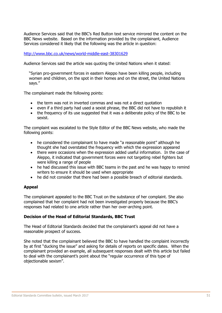Audience Services said that the BBC's Red Button text service mirrored the content on the BBC News website. Based on the information provided by the complainant, Audience Services considered it likely that the following was the article in question:

#### <http://www.bbc.co.uk/news/world-middle-east-38301629>

Audience Services said the article was quoting the United Nations when it stated:

"Syrian pro-government forces in eastern Aleppo have been killing people, including women and children, on the spot in their homes and on the street, the United Nations says."

The complainant made the following points:

- the term was not in inverted commas and was not a direct quotation
- even if a third party had used a sexist phrase, the BBC did not have to republish it
- the frequency of its use suggested that it was a deliberate policy of the BBC to be sexist.

The complaint was escalated to the Style Editor of the BBC News website, who made the following points:

- he considered the complainant to have made "a reasonable point" although he thought she had overstated the frequency with which the expression appeared
- there were occasions when the expression added useful information. In the case of Aleppo, it indicated that government forces were not targeting rebel fighters but were killing a range of people
- he had discussed this issue with BBC teams in the past and he was happy to remind writers to ensure it should be used when appropriate
- he did not consider that there had been a possible breach of editorial standards.

#### **Appeal**

The complainant appealed to the BBC Trust on the substance of her complaint. She also complained that her complaint had not been investigated properly because the BBC's responses had related to one article rather than her over-arching point.

#### **Decision of the Head of Editorial Standards, BBC Trust**

The Head of Editorial Standards decided that the complainant's appeal did not have a reasonable prospect of success.

She noted that the complainant believed the BBC to have handled the complaint incorrectly by at first "ducking the issue" and asking for details of reports on specific dates. When the complainant provided an example, all subsequent responses dealt with this article but failed to deal with the complainant's point about the "regular occurrence of this type of objectionable sexism".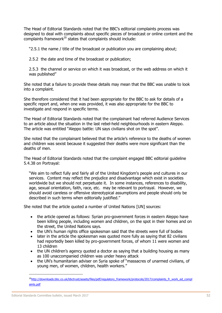The Head of Editorial Standards noted that the BBC's editorial complaints process was designed to deal with complaints about specific pieces of broadcast or online content and the complaints framework<sup>20</sup> states that complaints should include:

"2.5.1 the name / title of the broadcast or publication you are complaining about;

2.5.2 the date and time of the broadcast or publication;

2.5.3 the channel or service on which it was broadcast, or the web address on which it was published"

She noted that a failure to provide these details may mean that the BBC was unable to look into a complaint.

She therefore considered that it had been appropriate for the BBC to ask for details of a specific report and, when one was provided, it was also appropriate for the BBC to investigate and respond in specific terms.

The Head of Editorial Standards noted that the complainant had referred Audience Services to an article about the situation in the last rebel-held neighbourhoods in eastern Aleppo. The article was entitled "Aleppo battle: UN says civilians shot on the spot".

She noted that the complainant believed that the article's reference to the deaths of women and children was sexist because it suggested their deaths were more significant than the deaths of men.

The Head of Editorial Standards noted that the complaint engaged BBC editorial guideline 5.4.38 on Portrayal:

"We aim to reflect fully and fairly all of the United Kingdom's people and cultures in our services. Content may reflect the prejudice and disadvantage which exist in societies worldwide but we should not perpetuate it. In some instances, references to disability, age, sexual orientation, faith, race, etc. may be relevant to portrayal. However, we should avoid careless or offensive stereotypical assumptions and people should only be described in such terms when editorially justified."

She noted that the article quoted a number of United Nations [UN] sources:

- the article opened as follows: Syrian pro-government forces in eastern Aleppo have been killing people, including women and children, on the spot in their homes and on the street, the United Nations says.
- the UN's human rights office spokesman said that the streets were full of bodies
- later in the article the spokesman was quoted more fully as saying that 82 civilians had reportedly been killed by pro-government forces, of whom 11 were women and 13 children
- the UN children's agency quoted a doctor as saying that a building housing as many as 100 unaccompanied children was under heavy attack
- the UN's humanitarian adviser on Syria spoke of "massacres of unarmed civilians, of young men, of women, children, health workers."

<sup>&</sup>lt;sup>20</sup>http://downloads.bbc.co.uk/bbctrust/assets/files/pdf/requlatory\_framework/protocols/2017/complaints\_fr\_work\_ed\_compl [aints.pdf](http://downloads.bbc.co.uk/bbctrust/assets/files/pdf/regulatory_framework/protocols/2017/complaints_fr_work_ed_complaints.pdf)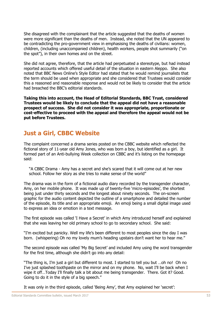She disagreed with the complainant that the article suggested that the deaths of women were more significant than the deaths of men. Instead, she noted that the UN appeared to be contradicting the pro-government view in emphasising the deaths of civilians: women, children, (including unaccompanied children), health workers, people shot summarily ("on the spot"), in their own homes and on the street.

She did not agree, therefore, that the article had perpetuated a stereotype, but had instead reported accounts which offered useful detail of the situation in eastern Aleppo. She also noted that BBC News Online's Style Editor had stated that he would remind journalists that the term should be used when appropriate and she considered that Trustees would consider this a reasoned and reasonable response and would not be likely to consider that the article had breached the BBC's editorial standards.

**Taking this into account, the Head of Editorial Standards, BBC Trust, considered Trustees would be likely to conclude that the appeal did not have a reasonable prospect of success. She did not consider it was appropriate, proportionate or cost-effective to proceed with the appeal and therefore the appeal would not be put before Trustees.**

# <span id="page-53-0"></span>**Just a Girl, CBBC Website**

The complaint concerned a drama series posted on the CBBC website which reflected the fictional story of 11-year old Amy Jones, who was born a boy, but identified as a girl. It formed part of an Anti-bullying Week collection on CBBC and it's listing on the homepage said:

"A CBBC Drama - Amy has a secret and she's scared that it will come out at her new school. Follow her story as she tries to make sense of the world"

The drama was in the form of a fictional audio diary recorded by the transgender character, Amy, on her mobile phone. It was made up of twenty-five 'micro-episodes', the shortest being just under thirty seconds and the longest about ninety seconds. The on-screen graphic for the audio content depicted the outline of a smartphone and detailed the number of the episode, its title and an appropriate emoji. An emoji being a small digital image used to express an idea or emotion in a text message.

The first episode was called 'I Have a Secret' in which Amy introduced herself and explained that she was leaving her old primary school to go to secondary school. She said:

"I'm excited but panicky. Well my life's been different to most peoples since the day I was born. (whispering) Oh no my lovely mum's heading upstairs don't want her to hear me."

The second episode was called 'My Big Secret' and included Amy using the word transgender for the first time, although she didn't go into any detail:

"The thing is, I'm just a girl but different to most. I started to tell you but …oh no! Oh no I've just splashed toothpaste on the mirror and on my phone. No, wait I'll be back when I wipe it off…Today I'll finally talk a bit about me being transgender. There. Got it? Good. Going to do it in the style of a big speech."

It was only in the third episode, called 'Being Amy', that Amy explained her 'secret':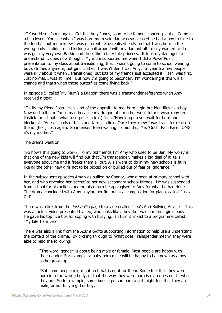"OK world so it's me again. Get this Amy Jones, soon to be famous concert pianist. Come in a bit closer. You see when I was born mum said dad was so pleased he had a boy to take to the football but mum knew I was different. She realised early on that I was born in the wrong body. I didn't mind kicking a ball around with my dad but all I really wanted to do was get my very own Barbie and dress like a fairy tale princess. It took my dad ages to understand it, does now though. My mum supported me when I did a PowerPoint presentation to my class about transitioning; that I wasn't going to come to school wearing boy's clothes anymore, but girls clothes. I wasn't Ben I was Amy. In year 6 a few people were silly about it when I transitioned, but lots of my friends just accepted it, Tashi was first. Just normal, I was still me. But now I'm going to Secondary I'm wondering if this will all change and that's when those butterflies come flying back."

In episode 5, called 'My Mum's a Dragon' there was a transgender reference when Amy received a text:

"Oh its my friend Josh. He's kind of the opposite to me, born a girl but identifies as a boy. Now do I tell him I'm so mad because my dragon of a mother won't let me wear ruby red lipstick for school – what a surprise… (text) Josh. 'How long do you wait for hormone blockers?' 'Ages. Loads of tests and talks at clinic. Once they knew I was trans for real, got them.' (text) Josh again. 'So intense. Been waiting six months.' Me. 'Ouch. Pain Face.' OMG it's my mother."

#### The drama went on:

"So how's this going to work? To my old friends I'm Amy who used to be Ben. My worry is that one of the new kids will find out that I'm transgender, makes a big deal of it, tells everyone about me and it freaks them all out. Alls I want to do in my new schools is fit in like all the other new girls not to be picked on or bullied out of fear or ignorance…".

In the subsequent episodes Amy was bullied by Connor, who'd been at primary school with her, and who revealed her 'secret' to her new secondary school friends. He was suspended from school for his actions and on his return he apologised to Amy for what he had done. The drama concluded with Amy playing her first musical composition for piano, called 'Just a Girl'.

There was a link from the *Just a Girl* page to a video called "Leo's Anti-Bullying Advice". This was a factual video presented by Leo, who looks like a boy, but was born in a girl's body. He gave his top five tips for coping with bullying. In turn it linked to a programme called "My Life I am Leo".

There was also a link from the *Just a Girl* to supporting information to help users understand the context of the drama. By clicking through to 'What does Transgender mean?' they were able to read the following:

"The word 'gender' is about being male or female. Most people are happy with their gender. For example, a baby born male will be happy to be known as a boy as he grows up.

"But some people might not feel that is right for them. Some feel that they were born into the wrong body, or that the way they were born is (sic) does not fit who they are. So for example, sometimes a person born a girl might feel that they are male, or not fully a girl or boy.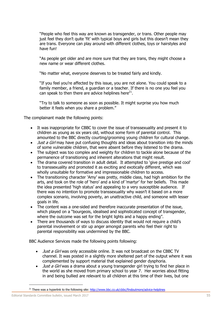"People who feel this way are known as transgender, or trans. Other people may just feel they don't quite 'fit' with typical boys and girls but this doesn't mean they are trans. Everyone can play around with different clothes, toys or hairstyles and have fun!

"As people get older and are more sure that they are trans, they might choose a new name or wear different clothes.

"No matter what, everyone deserves to be treated fairly and kindly.

"If you feel you're affected by this issue, you are not alone. You could speak to a family member, a friend, a guardian or a teacher. If there is no one you feel you can speak to then there are advice helplines here<sup>21</sup>.

"Try to talk to someone as soon as possible. It might surprise you how much better it feels when you share a problem."

The complainant made the following points:

- It was inappropriate for CBBC to cover the issue of transsexuality and present it to children as young as six years old, without some form of parental control. This amounted to the BBC directly courting/grooming young children for cultural change.
- *Just a Girl* may have put confusing thoughts and ideas about transition into the minds of some vulnerable children, that were absent before they listened to the drama.
- The subject was too complex and weighty for children to tackle alone because of the permanence of transitioning and inherent alterations that might result.
- The drama covered transition in adult detail. It attempted to 'give prestige and cool' to transsexuality and promoted it as exciting and exotically different, which was wholly unsuitable for formative and impressionable children to access.
- The transitioning character 'Amy' was pretty, middle class, had high ambition for the arts, and took on the role of 'hero' and a kind of 'martyr' for her beliefs. This made the idea presented 'high status' and appealing to a very susceptible audience. If there was no intention to promote transsexuality why wasn't it based on a more complex scenario, involving poverty, an unattractive child, and someone with lesser goals in life.
- The content was a one-sided and therefore inaccurate presentation of the issue, which played on a "bourgeois, idealised and sophisticated concept of transgender, where the outcome was set for the bright lights and a happy ending".
- There are thousands of ways to discuss identity that would not require a child's parental involvement or stir up anger amongst parents who feel their right to parental responsibility was undermined by the BBC.

BBC Audience Services made the following points following:

- *Just a Girl* was only accessible online. It was not broadcast on the CBBC TV channel. It was posted in a slightly more sheltered part of the output where it was complemented by support material that explained gender dysphoria.
- *Just a Girl* was a drama about a young transgender girl trying to find her place in the world as she moved from primary school to year 7. Her worries about fitting in and being bullied are relevant to all children at this time of their lives, but one

<sup>&</sup>lt;sup>21</sup> There was a hyperlink to the following site:<http://www.bbc.co.uk/cbbc/findoutmore/advice-helplines>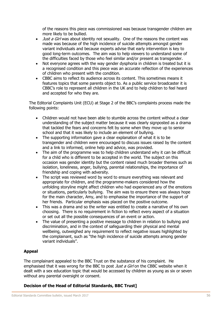of the reasons this piece was commissioned was because transgender children are more likely to be bullied.

- Just a Girl was about identity not sexuality. One of the reasons the content was made was because of the high incidence of suicide attempts amongst gender variant individuals and because experts advise that early intervention is key to good long-term outcomes. The aim was to help viewers to understand some of the difficulties faced by those who feel similar and/or present as transgender.
- Not everyone agrees with the way gender dysphoria in children is treated but it is a recognised condition and this piece was an accurate reflection of the experiences of children who present with the condition.
- CBBC aims to reflect its audience across its content. This sometimes means it features topics that some parents object to. As a public service broadcaster it is CBBC's role to represent all children in the UK and to help children to feel heard and accepted for who they are.

The Editorial Complaints Unit (ECU) at Stage 2 of the BBC's complaints process made the following points:

- Children would not have been able to stumble across the content without a clear understanding of the subject matter because it was clearly signposted as a drama that tackled the fears and concerns felt by some when they move up to senior school and that it was likely to include an element of bullying.
- The supporting information gave a clear explanation of what it is to be transgender and children were encouraged to discuss issues raised by the content and a link to informed, online help and advice, was provided.
- The aim of the programme was to help children understand why it can be difficult for a child who is different to be accepted in the world. The subject on this occasion was gender identity but the content raised much broader themes such as isolation, loneliness, anger, bullying, parental relationships, the importance of friendship and coping with adversity.
- The script was reviewed word by word to ensure everything was relevant and appropriate for children, and the programme-makers considered how the unfolding storyline might affect children who had experienced any of the emotions or situations, particularly bullying. The aim was to ensure there was always hope for the main character, Amy, and to emphasise the importance of the support of her friends. Particular emphasis was placed on the positive outcome.
- This was a drama and so the writer was entitled to create a narrative of his own choosing. There is no requirement in fiction to reflect every aspect of a situation or set out all the possible consequences of an event or action.
- The value of presenting a positive message to children in relation to bullying and discrimination, and in the context of safeguarding their physical and mental wellbeing, outweighed any requirement to reflect negative issues highlighted by the complainant, such as "the high incidence of suicide attempts among gender variant individuals".

#### **Appeal**

The complainant appealed to the BBC Trust on the substance of his complaint. He emphasised that it was wrong for the BBC to post *Just a Girl* on the CBBC website when it dealt with a sex education topic that would be accessed by children as young as six or seven without any parental oversight or consent.

#### **Decision of the Head of Editorial Standards, BBC Trust]**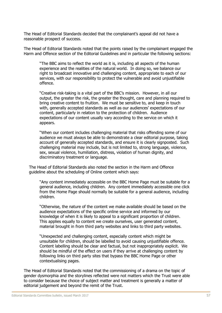The Head of Editorial Standards decided that the complainant's appeal did not have a reasonable prospect of success.

The Head of Editorial Standards noted that the points raised by the complainant engaged the Harm and Offence section of the Editorial Guidelines and in particular the following sections:

"The BBC aims to reflect the world as it is, including all aspects of the human experience and the realities of the natural world. In doing so, we balance our right to broadcast innovative and challenging content, appropriate to each of our services, with our responsibility to protect the vulnerable and avoid unjustifiable offence.

"Creative risk-taking is a vital part of the BBC's mission. However, in all our output, the greater the risk, the greater the thought, care and planning required to bring creative content to fruition. We must be sensitive to, and keep in touch with, generally accepted standards as well as our audiences' expectations of our content, particularly in relation to the protection of children. Audience expectations of our content usually vary according to the service on which it appears.

"When our content includes challenging material that risks offending some of our audience we must always be able to demonstrate a clear editorial purpose, taking account of generally accepted standards, and ensure it is clearly signposted. Such challenging material may include, but is not limited to, strong language, violence, sex, sexual violence, humiliation, distress, violation of human dignity, and discriminatory treatment or language.

The Head of Editorial Standards also noted the section in the Harm and Offence guideline about the scheduling of Online content which says:

"Any content immediately accessible on the BBC Home Page must be suitable for a general audience, including children. Any content immediately accessible one click from the Home Page should normally be suitable for a general audience, including children.

"Otherwise, the nature of the content we make available should be based on the audience expectations of the specific online service and informed by our knowledge of when it is likely to appeal to a significant proportion of children. This applies equally to content we create ourselves, user generated content, material brought in from third party websites and links to third party websites.

"Unexpected and challenging content, especially content which might be unsuitable for children, should be labelled to avoid causing unjustifiable offence. Content labelling should be clear and factual, but not inappropriately explicit. We should be mindful of the effect on users if they arrive at challenging content by following links on third party sites that bypass the BBC Home Page or other contextualising pages.

The Head of Editorial Standards noted that the commissioning of a drama on the topic of gender dysmorphia and the storylines reflected were not matters which the Trust were able to consider because the choice of subject matter and treatment is generally a matter of editorial judgement and beyond the remit of the Trust.